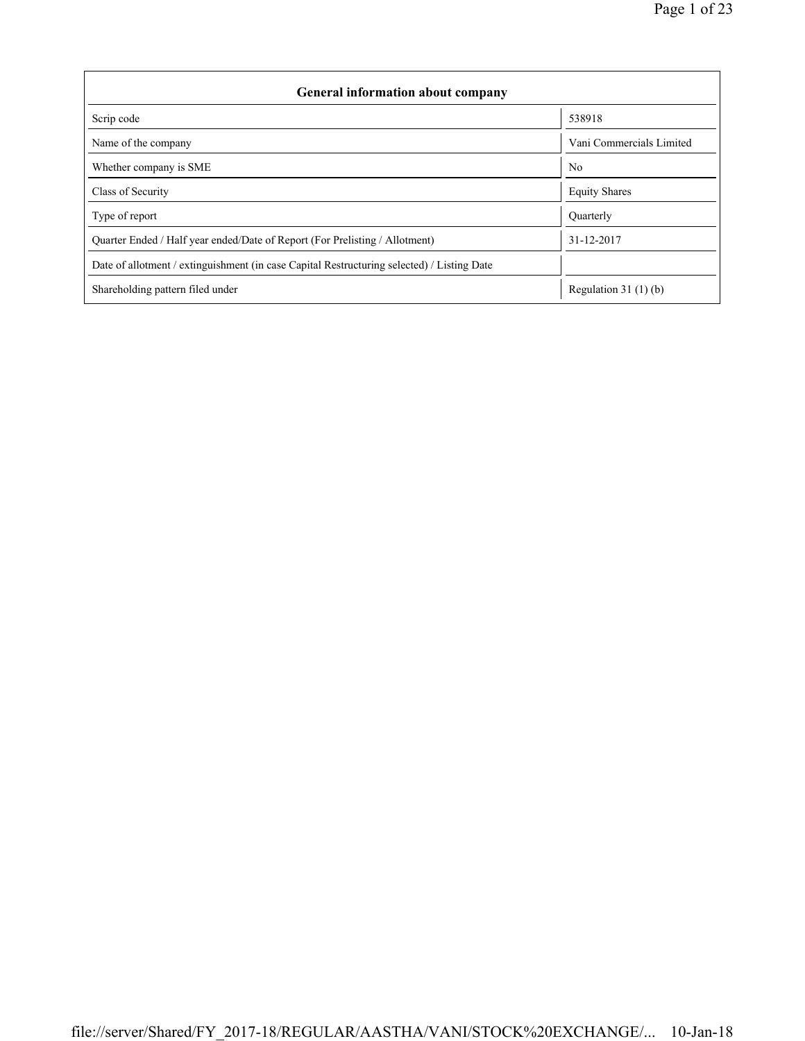| <b>General information about company</b>                                                   |                          |  |  |  |  |  |  |  |
|--------------------------------------------------------------------------------------------|--------------------------|--|--|--|--|--|--|--|
| Scrip code                                                                                 | 538918                   |  |  |  |  |  |  |  |
| Name of the company                                                                        | Vani Commercials Limited |  |  |  |  |  |  |  |
| Whether company is SME                                                                     | N <sub>0</sub>           |  |  |  |  |  |  |  |
| Class of Security                                                                          | <b>Equity Shares</b>     |  |  |  |  |  |  |  |
| Type of report                                                                             | <b>Ouarterly</b>         |  |  |  |  |  |  |  |
| Quarter Ended / Half year ended/Date of Report (For Prelisting / Allotment)                | 31-12-2017               |  |  |  |  |  |  |  |
| Date of allotment / extinguishment (in case Capital Restructuring selected) / Listing Date |                          |  |  |  |  |  |  |  |
| Shareholding pattern filed under                                                           | Regulation 31 $(1)(b)$   |  |  |  |  |  |  |  |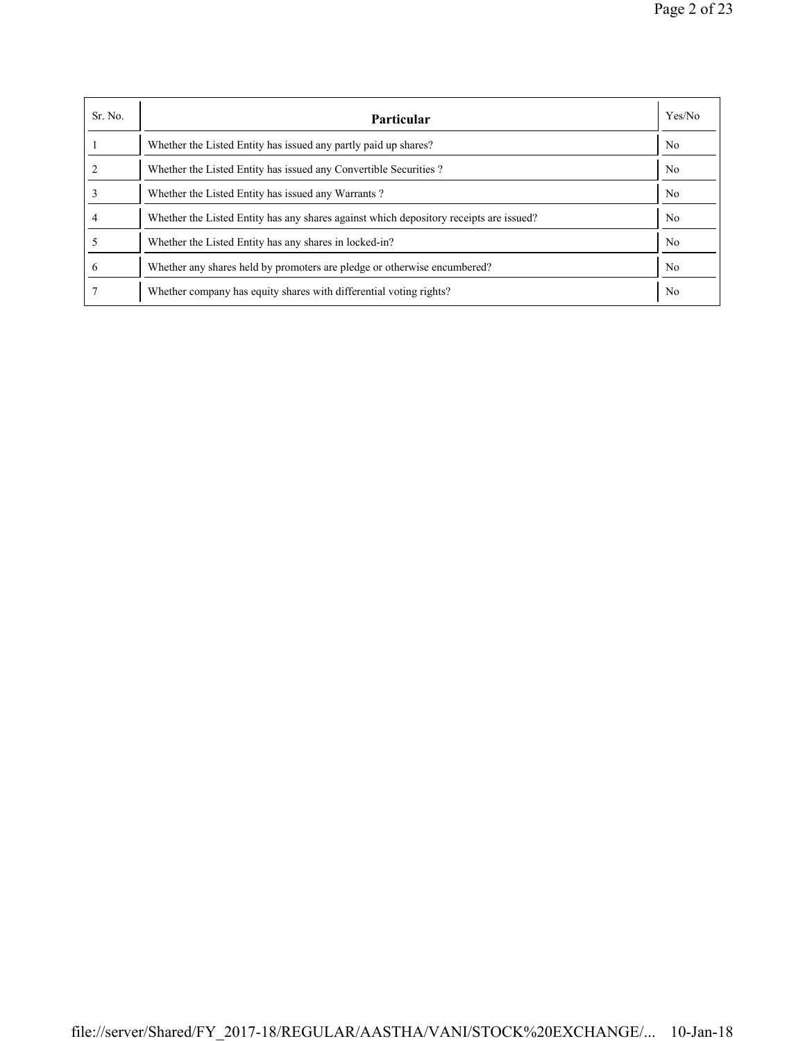| Sr. No. | Particular                                                                             | Yes/No         |
|---------|----------------------------------------------------------------------------------------|----------------|
|         | Whether the Listed Entity has issued any partly paid up shares?                        | N <sub>0</sub> |
|         | Whether the Listed Entity has issued any Convertible Securities?                       | N <sub>0</sub> |
|         | Whether the Listed Entity has issued any Warrants?                                     | N <sub>0</sub> |
| 4       | Whether the Listed Entity has any shares against which depository receipts are issued? | N <sub>0</sub> |
|         | Whether the Listed Entity has any shares in locked-in?                                 | N <sub>0</sub> |
| 6       | Whether any shares held by promoters are pledge or otherwise encumbered?               | N <sub>0</sub> |
|         | Whether company has equity shares with differential voting rights?                     | N <sub>0</sub> |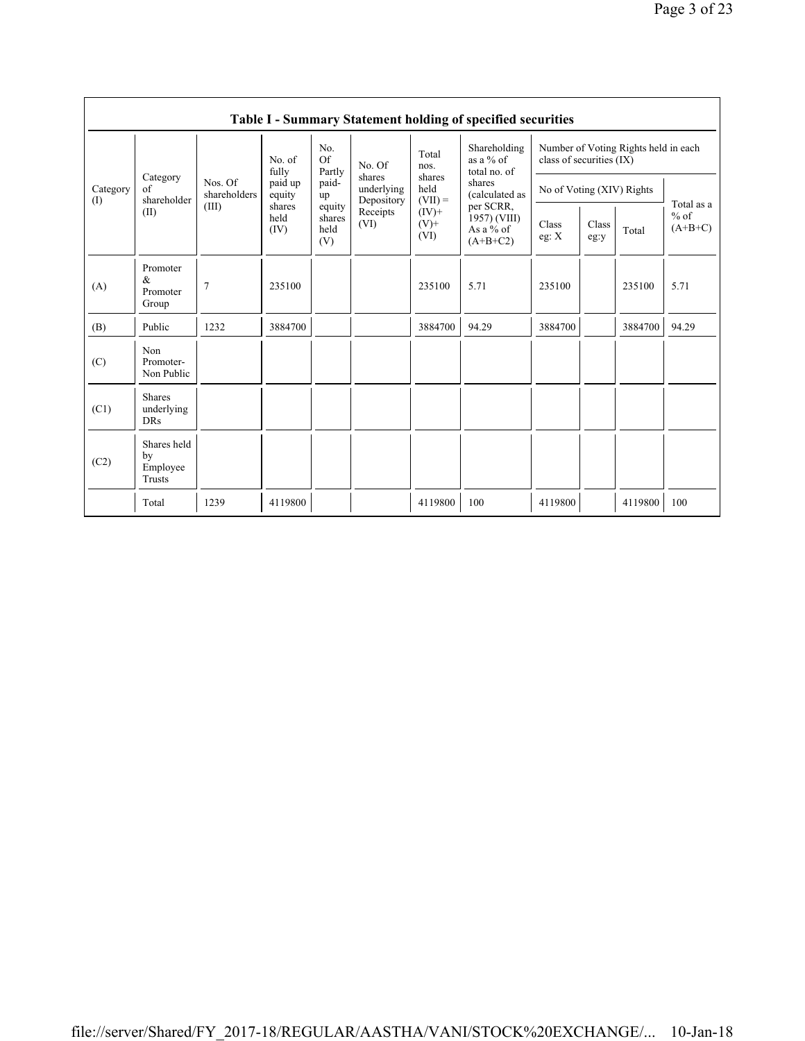|                 | Table I - Summary Statement holding of specified securities |                                  |                                                                |                                                |                                                        |                                                                             |                                                      |                                                                  |               |         |                                   |  |  |
|-----------------|-------------------------------------------------------------|----------------------------------|----------------------------------------------------------------|------------------------------------------------|--------------------------------------------------------|-----------------------------------------------------------------------------|------------------------------------------------------|------------------------------------------------------------------|---------------|---------|-----------------------------------|--|--|
|                 | Category<br>of<br>shareholder<br>(II)                       |                                  | No. of<br>fully<br>paid up<br>equity<br>shares<br>held<br>(IV) | No.<br>Of<br>Partly                            | No. Of                                                 | Total<br>nos.<br>shares<br>held<br>$(VII) =$<br>$(IV)$ +<br>$(V)$ +<br>(VI) | Shareholding<br>as a % of<br>total no. of            | Number of Voting Rights held in each<br>class of securities (IX) |               |         |                                   |  |  |
| Category<br>(1) |                                                             | Nos. Of<br>shareholders<br>(III) |                                                                | paid-<br>up<br>equity<br>shares<br>held<br>(V) | shares<br>underlying<br>Depository<br>Receipts<br>(VI) |                                                                             | shares<br>(calculated as                             | No of Voting (XIV) Rights                                        |               |         | Total as a<br>$%$ of<br>$(A+B+C)$ |  |  |
|                 |                                                             |                                  |                                                                |                                                |                                                        |                                                                             | per SCRR,<br>1957) (VIII)<br>As a % of<br>$(A+B+C2)$ | Class<br>eg: $\mathbf{X}$                                        | Class<br>eg:y | Total   |                                   |  |  |
| (A)             | Promoter<br>$\&$<br>Promoter<br>Group                       | $\overline{7}$                   | 235100                                                         |                                                |                                                        | 235100                                                                      | 5.71                                                 | 235100                                                           |               | 235100  | 5.71                              |  |  |
| (B)             | Public                                                      | 1232                             | 3884700                                                        |                                                |                                                        | 3884700                                                                     | 94.29                                                | 3884700                                                          |               | 3884700 | 94.29                             |  |  |
| (C)             | Non<br>Promoter-<br>Non Public                              |                                  |                                                                |                                                |                                                        |                                                                             |                                                      |                                                                  |               |         |                                   |  |  |
| (C1)            | <b>Shares</b><br>underlying<br><b>DRs</b>                   |                                  |                                                                |                                                |                                                        |                                                                             |                                                      |                                                                  |               |         |                                   |  |  |
| (C2)            | Shares held<br>by<br>Employee<br>Trusts                     |                                  |                                                                |                                                |                                                        |                                                                             |                                                      |                                                                  |               |         |                                   |  |  |
|                 | Total                                                       | 1239                             | 4119800                                                        |                                                |                                                        | 4119800                                                                     | 100                                                  | 4119800                                                          |               | 4119800 | 100                               |  |  |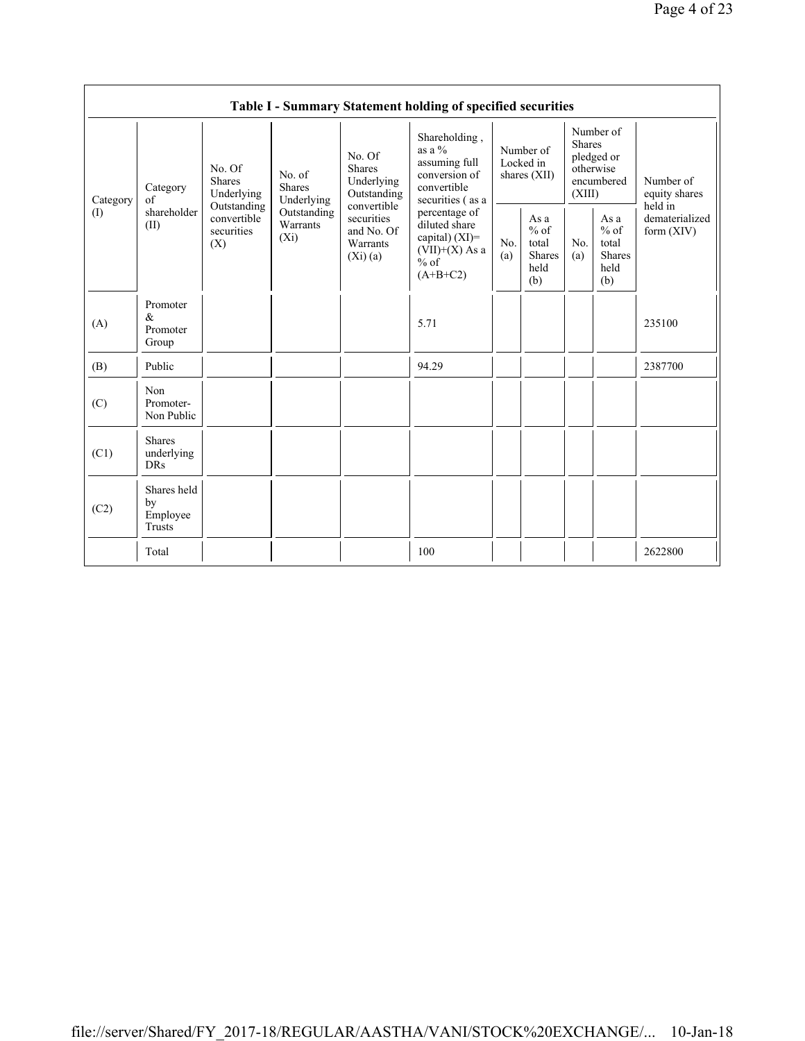|                 | Table I - Summary Statement holding of specified securities |                                                                                          |                                                                             |                                                                                                                        |                                                                                                                                                                                                   |                                        |                                                  |                                                                               |                                                         |                                           |  |
|-----------------|-------------------------------------------------------------|------------------------------------------------------------------------------------------|-----------------------------------------------------------------------------|------------------------------------------------------------------------------------------------------------------------|---------------------------------------------------------------------------------------------------------------------------------------------------------------------------------------------------|----------------------------------------|--------------------------------------------------|-------------------------------------------------------------------------------|---------------------------------------------------------|-------------------------------------------|--|
| Category<br>(1) | Category<br>of<br>shareholder<br>(II)                       | No. Of<br><b>Shares</b><br>Underlying<br>Outstanding<br>convertible<br>securities<br>(X) | No. of<br><b>Shares</b><br>Underlying<br>Outstanding<br>Warrants<br>$(X_i)$ | No. Of<br><b>Shares</b><br>Underlying<br>Outstanding<br>convertible<br>securities<br>and No. Of<br>Warrants<br>(Xi)(a) | Shareholding,<br>as a $\%$<br>assuming full<br>conversion of<br>convertible<br>securities (as a<br>percentage of<br>diluted share<br>capital) $(XI)=$<br>$(VII)+(X)$ As a<br>$%$ of<br>$(A+B+C2)$ | Number of<br>Locked in<br>shares (XII) |                                                  | Number of<br><b>Shares</b><br>pledged or<br>otherwise<br>encumbered<br>(XIII) |                                                         | Number of<br>equity shares                |  |
|                 |                                                             |                                                                                          |                                                                             |                                                                                                                        |                                                                                                                                                                                                   | No.<br>(a)                             | As a<br>$%$ of<br>total<br>Shares<br>held<br>(b) | N <sub>0</sub><br>(a)                                                         | As a<br>$%$ of<br>total<br><b>Shares</b><br>held<br>(b) | held in<br>dematerialized<br>form $(XIV)$ |  |
| (A)             | Promoter<br>$\&$<br>Promoter<br>Group                       |                                                                                          |                                                                             |                                                                                                                        | 5.71                                                                                                                                                                                              |                                        |                                                  |                                                                               |                                                         | 235100                                    |  |
| (B)             | Public                                                      |                                                                                          |                                                                             |                                                                                                                        | 94.29                                                                                                                                                                                             |                                        |                                                  |                                                                               |                                                         | 2387700                                   |  |
| (C)             | Non<br>Promoter-<br>Non Public                              |                                                                                          |                                                                             |                                                                                                                        |                                                                                                                                                                                                   |                                        |                                                  |                                                                               |                                                         |                                           |  |
| (C1)            | <b>Shares</b><br>underlying<br><b>DRs</b>                   |                                                                                          |                                                                             |                                                                                                                        |                                                                                                                                                                                                   |                                        |                                                  |                                                                               |                                                         |                                           |  |
| (C2)            | Shares held<br>by<br>Employee<br>Trusts                     |                                                                                          |                                                                             |                                                                                                                        |                                                                                                                                                                                                   |                                        |                                                  |                                                                               |                                                         |                                           |  |
|                 | Total                                                       |                                                                                          |                                                                             |                                                                                                                        | 100                                                                                                                                                                                               |                                        |                                                  |                                                                               |                                                         | 2622800                                   |  |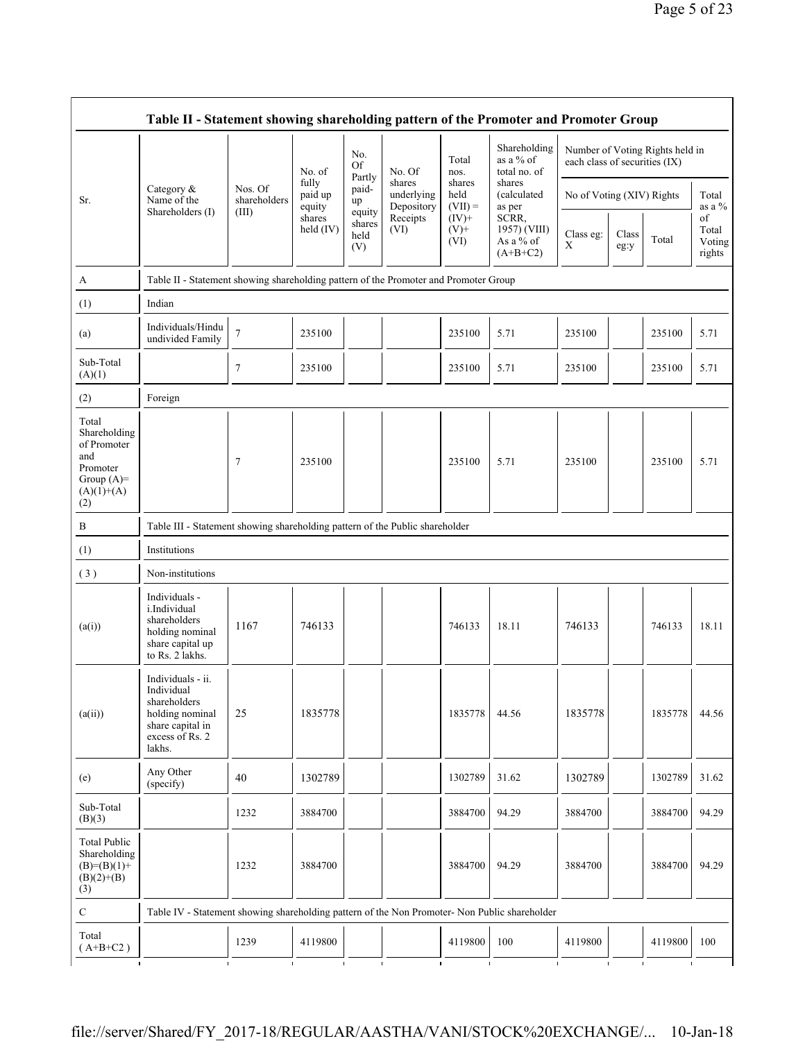|                                                                                                | Table II - Statement showing shareholding pattern of the Promoter and Promoter Group                                |                         |                            |                                 |                                    |                             |                                                                                      |                                                                  |               |         |                                 |
|------------------------------------------------------------------------------------------------|---------------------------------------------------------------------------------------------------------------------|-------------------------|----------------------------|---------------------------------|------------------------------------|-----------------------------|--------------------------------------------------------------------------------------|------------------------------------------------------------------|---------------|---------|---------------------------------|
|                                                                                                |                                                                                                                     |                         | No. of                     | No.<br><b>Of</b>                | No. Of                             | Total<br>nos.               | Shareholding<br>as a % of<br>total no. of                                            | Number of Voting Rights held in<br>each class of securities (IX) |               |         |                                 |
| Sr.                                                                                            | Category &<br>Name of the                                                                                           | Nos. Of<br>shareholders | fully<br>paid up<br>equity | Partly<br>paid-<br>up           | shares<br>underlying<br>Depository | shares<br>held<br>$(VII) =$ | shares<br>(calculated)<br>as per<br>SCRR,<br>1957) (VIII)<br>As a % of<br>$(A+B+C2)$ | No of Voting (XIV) Rights                                        |               |         | Total<br>as a $\%$              |
|                                                                                                | Shareholders (I)                                                                                                    | (III)                   | shares<br>held (IV)        | equity<br>shares<br>held<br>(V) | Receipts<br>(VI)                   | $(IV)+$<br>$(V)$ +<br>(VI)  |                                                                                      | Class eg:<br>$\mathbf X$                                         | Class<br>eg:y | Total   | of<br>Total<br>Voting<br>rights |
| A                                                                                              | Table II - Statement showing shareholding pattern of the Promoter and Promoter Group                                |                         |                            |                                 |                                    |                             |                                                                                      |                                                                  |               |         |                                 |
| (1)                                                                                            | Indian                                                                                                              |                         |                            |                                 |                                    |                             |                                                                                      |                                                                  |               |         |                                 |
| (a)                                                                                            | Individuals/Hindu<br>undivided Family                                                                               | $\tau$                  | 235100                     |                                 |                                    | 235100                      | 5.71                                                                                 | 235100                                                           |               | 235100  | 5.71                            |
| Sub-Total<br>(A)(1)                                                                            |                                                                                                                     | 7                       | 235100                     |                                 |                                    | 235100                      | 5.71                                                                                 | 235100                                                           |               | 235100  | 5.71                            |
| (2)                                                                                            | Foreign                                                                                                             |                         |                            |                                 |                                    |                             |                                                                                      |                                                                  |               |         |                                 |
| Total<br>Shareholding<br>of Promoter<br>and<br>Promoter<br>Group $(A)=$<br>$(A)(1)+(A)$<br>(2) |                                                                                                                     | 7                       | 235100                     |                                 |                                    | 235100                      | 5.71                                                                                 | 235100                                                           |               | 235100  | 5.71                            |
| B                                                                                              | Table III - Statement showing shareholding pattern of the Public shareholder                                        |                         |                            |                                 |                                    |                             |                                                                                      |                                                                  |               |         |                                 |
| (1)                                                                                            | Institutions                                                                                                        |                         |                            |                                 |                                    |                             |                                                                                      |                                                                  |               |         |                                 |
| (3)                                                                                            | Non-institutions                                                                                                    |                         |                            |                                 |                                    |                             |                                                                                      |                                                                  |               |         |                                 |
| (a(i))                                                                                         | Individuals -<br>i.Individual<br>shareholders<br>holding nominal<br>share capital up<br>to Rs. 2 lakhs.             | 1167                    | 746133                     |                                 |                                    | 746133                      | 18.11                                                                                | 746133                                                           |               | 746133  | 18.11                           |
| (a(ii))                                                                                        | Individuals - ii.<br>Individual<br>shareholders<br>holding nominal<br>share capital in<br>excess of Rs. 2<br>lakhs. | 25                      | 1835778                    |                                 |                                    | 1835778                     | 44.56                                                                                | 1835778                                                          |               | 1835778 | 44.56                           |
| (e)                                                                                            | Any Other<br>(specify)                                                                                              | 40                      | 1302789                    |                                 |                                    | 1302789                     | 31.62                                                                                | 1302789                                                          |               | 1302789 | 31.62                           |
| Sub-Total<br>(B)(3)                                                                            |                                                                                                                     | 1232                    | 3884700                    |                                 |                                    | 3884700                     | 94.29                                                                                | 3884700                                                          |               | 3884700 | 94.29                           |
| <b>Total Public</b><br>Shareholding<br>$(B)= (B)(1) +$<br>$(B)(2)+(B)$<br>(3)                  |                                                                                                                     | 1232                    | 3884700                    |                                 |                                    | 3884700                     | 94.29                                                                                | 3884700                                                          |               | 3884700 | 94.29                           |
| ${\bf C}$                                                                                      | Table IV - Statement showing shareholding pattern of the Non Promoter- Non Public shareholder                       |                         |                            |                                 |                                    |                             |                                                                                      |                                                                  |               |         |                                 |
| Total<br>$(A+B+C2)$<br>$\mathbf{I}$                                                            |                                                                                                                     | 1239                    | 4119800                    |                                 |                                    | 4119800                     | 100                                                                                  | 4119800                                                          |               | 4119800 | 100                             |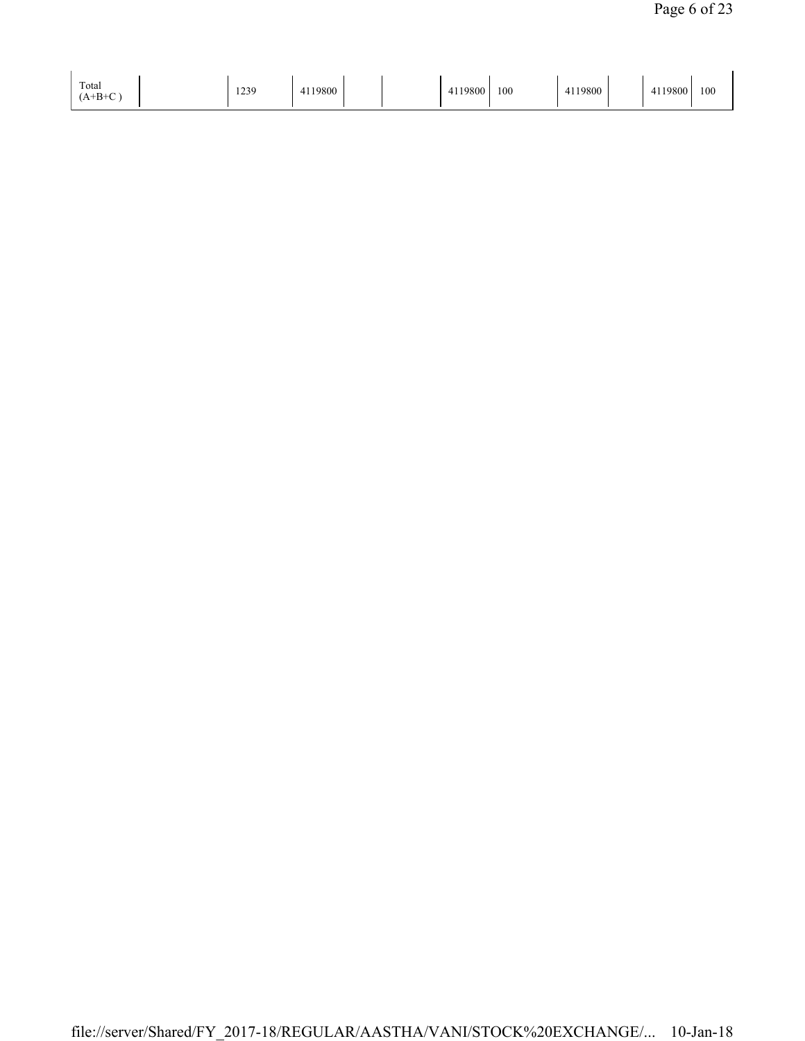| Total<br>1239<br>$+D+$ | 4119800 | 10000<br>フロリリ<br>∸ | 100 | 4119800 | 1119800<br><b>A</b> I<br>T 1 1 | 100 |
|------------------------|---------|--------------------|-----|---------|--------------------------------|-----|
|------------------------|---------|--------------------|-----|---------|--------------------------------|-----|

 $\ddot{\phantom{a}}$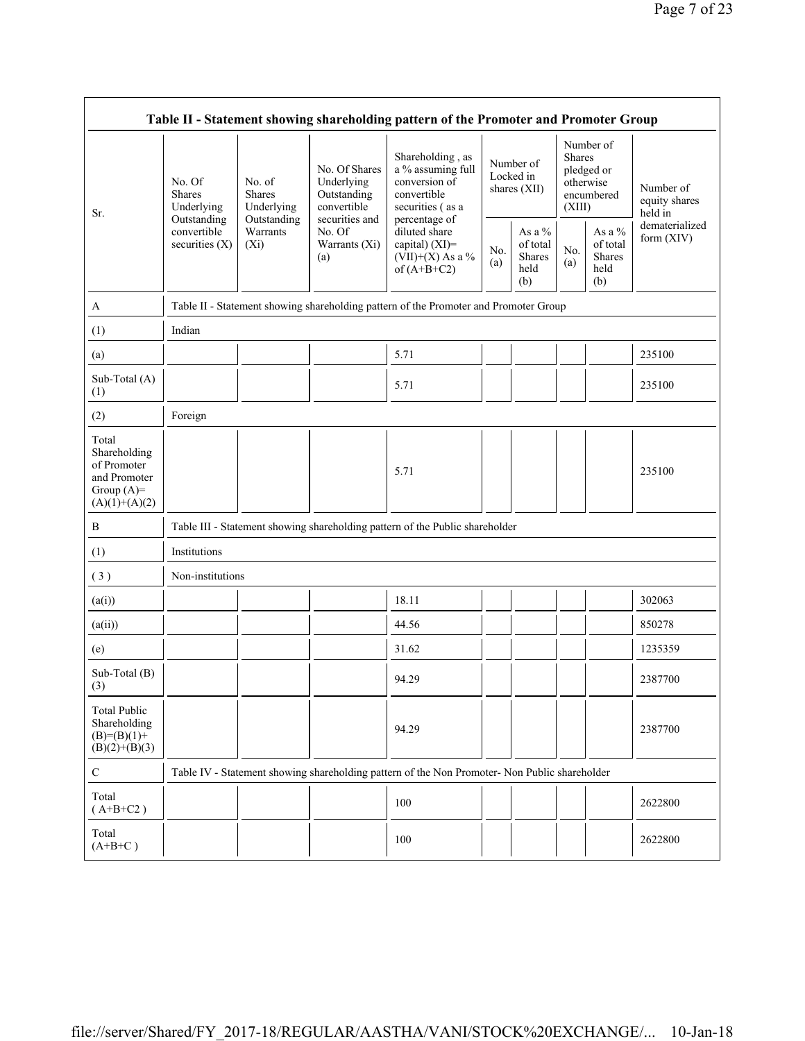| Table II - Statement showing shareholding pattern of the Promoter and Promoter Group    |                                                                                         |                                                                                      |                                                                                                               |                                                                                                                                                                                      |            |                                                |                                                                               |                                             |                                       |  |  |
|-----------------------------------------------------------------------------------------|-----------------------------------------------------------------------------------------|--------------------------------------------------------------------------------------|---------------------------------------------------------------------------------------------------------------|--------------------------------------------------------------------------------------------------------------------------------------------------------------------------------------|------------|------------------------------------------------|-------------------------------------------------------------------------------|---------------------------------------------|---------------------------------------|--|--|
| Sr.                                                                                     | No. Of<br><b>Shares</b><br>Underlying<br>Outstanding<br>convertible<br>securities $(X)$ | No. of<br><b>Shares</b><br>Underlying<br>Outstanding<br>Warrants<br>$(X_i)$          | No. Of Shares<br>Underlying<br>Outstanding<br>convertible<br>securities and<br>No. Of<br>Warrants (Xi)<br>(a) | Shareholding, as<br>a % assuming full<br>conversion of<br>convertible<br>securities (as a<br>percentage of<br>diluted share<br>capital) (XI)=<br>$(VII)+(X)$ As a %<br>of $(A+B+C2)$ |            | Number of<br>Locked in<br>shares (XII)         | Number of<br><b>Shares</b><br>pledged or<br>otherwise<br>encumbered<br>(XIII) |                                             | Number of<br>equity shares<br>held in |  |  |
|                                                                                         |                                                                                         |                                                                                      |                                                                                                               |                                                                                                                                                                                      | No.<br>(a) | As a $\%$<br>of total<br>Shares<br>held<br>(b) | No.<br>(a)                                                                    | As a %<br>of total<br>Shares<br>held<br>(b) | dematerialized<br>form (XIV)          |  |  |
| A                                                                                       |                                                                                         | Table II - Statement showing shareholding pattern of the Promoter and Promoter Group |                                                                                                               |                                                                                                                                                                                      |            |                                                |                                                                               |                                             |                                       |  |  |
| (1)                                                                                     | Indian                                                                                  |                                                                                      |                                                                                                               |                                                                                                                                                                                      |            |                                                |                                                                               |                                             |                                       |  |  |
| (a)                                                                                     |                                                                                         |                                                                                      |                                                                                                               | 5.71                                                                                                                                                                                 |            |                                                |                                                                               |                                             | 235100                                |  |  |
| Sub-Total (A)<br>(1)                                                                    |                                                                                         |                                                                                      |                                                                                                               | 5.71                                                                                                                                                                                 |            |                                                |                                                                               |                                             | 235100                                |  |  |
| (2)                                                                                     | Foreign                                                                                 |                                                                                      |                                                                                                               |                                                                                                                                                                                      |            |                                                |                                                                               |                                             |                                       |  |  |
| Total<br>Shareholding<br>of Promoter<br>and Promoter<br>Group $(A)=$<br>$(A)(1)+(A)(2)$ |                                                                                         |                                                                                      |                                                                                                               | 5.71                                                                                                                                                                                 |            |                                                |                                                                               |                                             | 235100                                |  |  |
| B                                                                                       |                                                                                         |                                                                                      |                                                                                                               | Table III - Statement showing shareholding pattern of the Public shareholder                                                                                                         |            |                                                |                                                                               |                                             |                                       |  |  |
| (1)                                                                                     | Institutions                                                                            |                                                                                      |                                                                                                               |                                                                                                                                                                                      |            |                                                |                                                                               |                                             |                                       |  |  |
| (3)                                                                                     | Non-institutions                                                                        |                                                                                      |                                                                                                               |                                                                                                                                                                                      |            |                                                |                                                                               |                                             |                                       |  |  |
| (a(i))                                                                                  |                                                                                         |                                                                                      |                                                                                                               | 18.11                                                                                                                                                                                |            |                                                |                                                                               |                                             | 302063                                |  |  |
| (a(ii))                                                                                 |                                                                                         |                                                                                      |                                                                                                               | 44.56                                                                                                                                                                                |            |                                                |                                                                               |                                             | 850278                                |  |  |
| (e)                                                                                     |                                                                                         |                                                                                      |                                                                                                               | 31.62                                                                                                                                                                                |            |                                                |                                                                               |                                             | 1235359                               |  |  |
| Sub-Total (B)<br>(3)                                                                    |                                                                                         |                                                                                      |                                                                                                               | 94.29                                                                                                                                                                                |            |                                                |                                                                               |                                             | 2387700                               |  |  |
| <b>Total Public</b><br>Shareholding<br>$(B)= (B)(1) +$<br>$(B)(2)+(B)(3)$               |                                                                                         |                                                                                      |                                                                                                               | 94.29                                                                                                                                                                                |            |                                                |                                                                               |                                             | 2387700                               |  |  |
| $\mathbf C$                                                                             |                                                                                         |                                                                                      |                                                                                                               | Table IV - Statement showing shareholding pattern of the Non Promoter- Non Public shareholder                                                                                        |            |                                                |                                                                               |                                             |                                       |  |  |
| Total<br>$(A+B+C2)$                                                                     |                                                                                         |                                                                                      |                                                                                                               | 100                                                                                                                                                                                  |            |                                                |                                                                               |                                             | 2622800                               |  |  |
| Total<br>$(A+B+C)$                                                                      |                                                                                         |                                                                                      |                                                                                                               | 100                                                                                                                                                                                  |            |                                                |                                                                               |                                             | 2622800                               |  |  |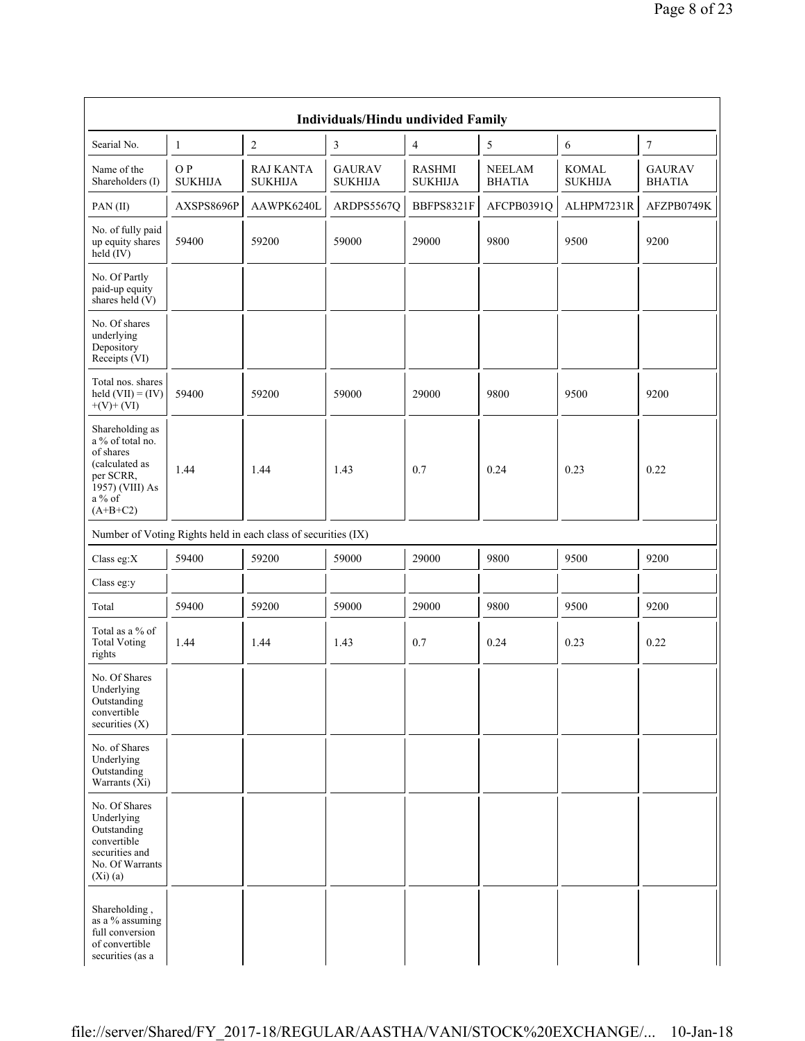| Individuals/Hindu undivided Family                                                                                           |                       |                                                               |                                 |                                 |                                |                                |                                |  |  |  |
|------------------------------------------------------------------------------------------------------------------------------|-----------------------|---------------------------------------------------------------|---------------------------------|---------------------------------|--------------------------------|--------------------------------|--------------------------------|--|--|--|
| Searial No.                                                                                                                  | $\mathbf{1}$          | $\overline{c}$                                                | 3                               | $\overline{\mathcal{A}}$        | 5                              | 6                              | $\boldsymbol{7}$               |  |  |  |
| Name of the<br>Shareholders (I)                                                                                              | O P<br><b>SUKHIJA</b> | <b>RAJ KANTA</b><br><b>SUKHIJA</b>                            | <b>GAURAV</b><br><b>SUKHIJA</b> | <b>RASHMI</b><br><b>SUKHIJA</b> | <b>NEELAM</b><br><b>BHATIA</b> | <b>KOMAL</b><br><b>SUKHIJA</b> | <b>GAURAV</b><br><b>BHATIA</b> |  |  |  |
| PAN(II)                                                                                                                      | AXSPS8696P            | AAWPK6240L                                                    | ARDPS5567Q                      | BBFPS8321F                      | AFCPB0391Q                     | ALHPM7231R                     | AFZPB0749K                     |  |  |  |
| No. of fully paid<br>up equity shares<br>held $(IV)$                                                                         | 59400                 | 59200                                                         | 59000                           | 29000                           | 9800                           | 9500                           | 9200                           |  |  |  |
| No. Of Partly<br>paid-up equity<br>shares held $(V)$                                                                         |                       |                                                               |                                 |                                 |                                |                                |                                |  |  |  |
| No. Of shares<br>underlying<br>Depository<br>Receipts (VI)                                                                   |                       |                                                               |                                 |                                 |                                |                                |                                |  |  |  |
| Total nos. shares<br>held $(VII) = (IV)$<br>$+(V)+(VI)$                                                                      | 59400                 | 59200                                                         | 59000                           | 29000                           | 9800                           | 9500                           | 9200                           |  |  |  |
| Shareholding as<br>a % of total no.<br>of shares<br>(calculated as<br>per SCRR,<br>1957) (VIII) As<br>$a\%$ of<br>$(A+B+C2)$ | 1.44                  | 1.44                                                          | 1.43                            | 0.7                             | 0.24                           | 0.23                           | 0.22                           |  |  |  |
|                                                                                                                              |                       | Number of Voting Rights held in each class of securities (IX) |                                 |                                 |                                |                                |                                |  |  |  |
| Class eg:X                                                                                                                   | 59400                 | 59200                                                         | 59000                           | 29000                           | 9800                           | 9500                           | 9200                           |  |  |  |
| Class eg:y                                                                                                                   |                       |                                                               |                                 |                                 |                                |                                |                                |  |  |  |
| Total                                                                                                                        | 59400                 | 59200                                                         | 59000                           | 29000                           | 9800                           | 9500                           | 9200                           |  |  |  |
| Total as a $\%$ of<br><b>Total Voting</b><br>rights                                                                          | 1.44                  | 1.44                                                          | 1.43                            | 0.7                             | 0.24                           | 0.23                           | 0.22                           |  |  |  |
| No. Of Shares<br>Underlying<br>Outstanding<br>convertible<br>securities $(X)$                                                |                       |                                                               |                                 |                                 |                                |                                |                                |  |  |  |
| No. of Shares<br>Underlying<br>Outstanding<br>Warrants (Xi)                                                                  |                       |                                                               |                                 |                                 |                                |                                |                                |  |  |  |
| No. Of Shares<br>Underlying<br>Outstanding<br>convertible<br>securities and<br>No. Of Warrants<br>(Xi)(a)                    |                       |                                                               |                                 |                                 |                                |                                |                                |  |  |  |
| Shareholding,<br>as a % assuming<br>full conversion<br>of convertible<br>securities (as a                                    |                       |                                                               |                                 |                                 |                                |                                |                                |  |  |  |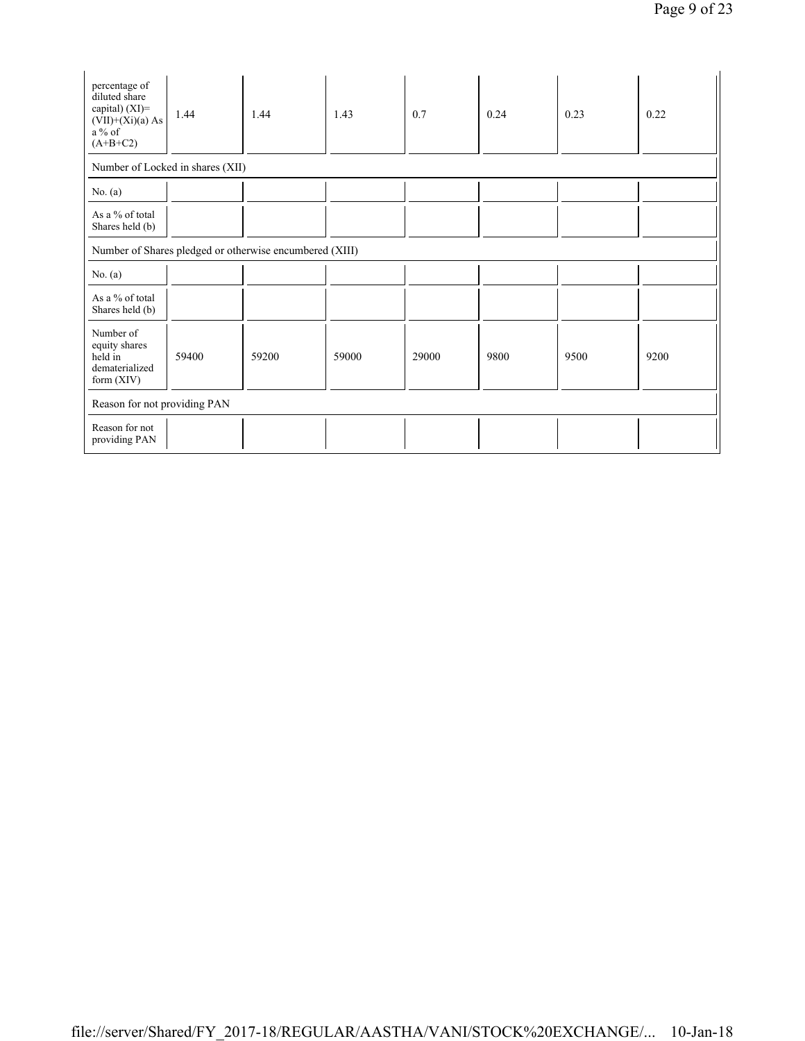| percentage of<br>diluted share<br>capital) $(XI)$ =<br>$(VII)+(Xi)(a)$ As<br>a % of<br>$(A+B+C2)$ | 1.44                         | 1.44                                                    | 1.43  | 0.7   | 0.24 | 0.23 | 0.22 |  |  |  |
|---------------------------------------------------------------------------------------------------|------------------------------|---------------------------------------------------------|-------|-------|------|------|------|--|--|--|
| Number of Locked in shares (XII)                                                                  |                              |                                                         |       |       |      |      |      |  |  |  |
| No. $(a)$                                                                                         |                              |                                                         |       |       |      |      |      |  |  |  |
| As a % of total<br>Shares held (b)                                                                |                              |                                                         |       |       |      |      |      |  |  |  |
|                                                                                                   |                              | Number of Shares pledged or otherwise encumbered (XIII) |       |       |      |      |      |  |  |  |
| No. $(a)$                                                                                         |                              |                                                         |       |       |      |      |      |  |  |  |
| As a % of total<br>Shares held (b)                                                                |                              |                                                         |       |       |      |      |      |  |  |  |
| Number of<br>equity shares<br>held in<br>dematerialized<br>form $(XIV)$                           | 59400                        | 59200                                                   | 59000 | 29000 | 9800 | 9500 | 9200 |  |  |  |
|                                                                                                   | Reason for not providing PAN |                                                         |       |       |      |      |      |  |  |  |
| Reason for not<br>providing PAN                                                                   |                              |                                                         |       |       |      |      |      |  |  |  |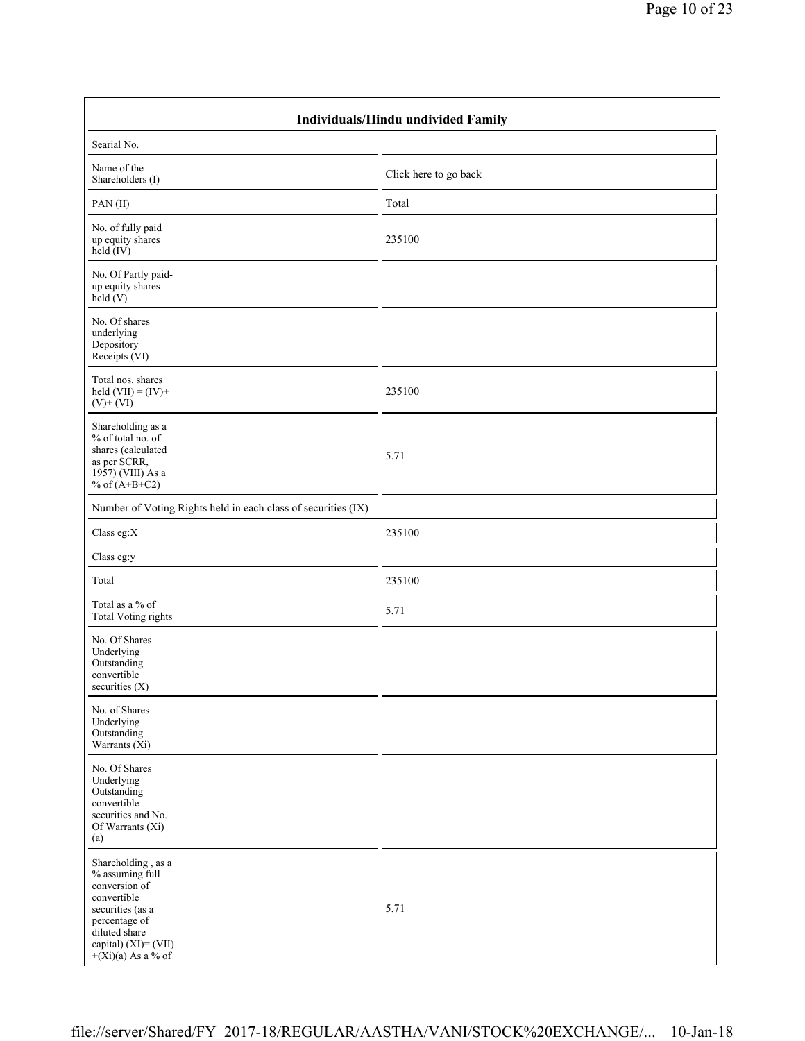| Individuals/Hindu undivided Family                                                                                                                                          |                       |  |  |  |  |  |  |
|-----------------------------------------------------------------------------------------------------------------------------------------------------------------------------|-----------------------|--|--|--|--|--|--|
| Searial No.                                                                                                                                                                 |                       |  |  |  |  |  |  |
| Name of the<br>Shareholders (I)                                                                                                                                             | Click here to go back |  |  |  |  |  |  |
| PAN(II)                                                                                                                                                                     | Total                 |  |  |  |  |  |  |
| No. of fully paid<br>up equity shares<br>held $(IV)$                                                                                                                        | 235100                |  |  |  |  |  |  |
| No. Of Partly paid-<br>up equity shares<br>held $(V)$                                                                                                                       |                       |  |  |  |  |  |  |
| No. Of shares<br>underlying<br>Depository<br>Receipts (VI)                                                                                                                  |                       |  |  |  |  |  |  |
| Total nos. shares<br>held $(VII) = (IV) +$<br>$(V)$ + $(VI)$                                                                                                                | 235100                |  |  |  |  |  |  |
| Shareholding as a<br>% of total no. of<br>shares (calculated<br>as per SCRR,<br>1957) (VIII) As a<br>% of $(A+B+C2)$                                                        | 5.71                  |  |  |  |  |  |  |
| Number of Voting Rights held in each class of securities (IX)                                                                                                               |                       |  |  |  |  |  |  |
| Class eg:X                                                                                                                                                                  | 235100                |  |  |  |  |  |  |
| Class eg:y                                                                                                                                                                  |                       |  |  |  |  |  |  |
| Total                                                                                                                                                                       | 235100                |  |  |  |  |  |  |
| Total as a % of<br><b>Total Voting rights</b>                                                                                                                               | 5.71                  |  |  |  |  |  |  |
| No. Of Shares<br>Underlying<br>Outstanding<br>convertible<br>securities (X)                                                                                                 |                       |  |  |  |  |  |  |
| No. of Shares<br>Underlying<br>Outstanding<br>Warrants (Xi)                                                                                                                 |                       |  |  |  |  |  |  |
| No. Of Shares<br>Underlying<br>Outstanding<br>convertible<br>securities and No.<br>Of Warrants (Xi)<br>(a)                                                                  |                       |  |  |  |  |  |  |
| Shareholding, as a<br>% assuming full<br>conversion of<br>convertible<br>securities (as a<br>percentage of<br>diluted share<br>capital) (XI)= (VII)<br>$+(Xi)(a)$ As a % of | 5.71                  |  |  |  |  |  |  |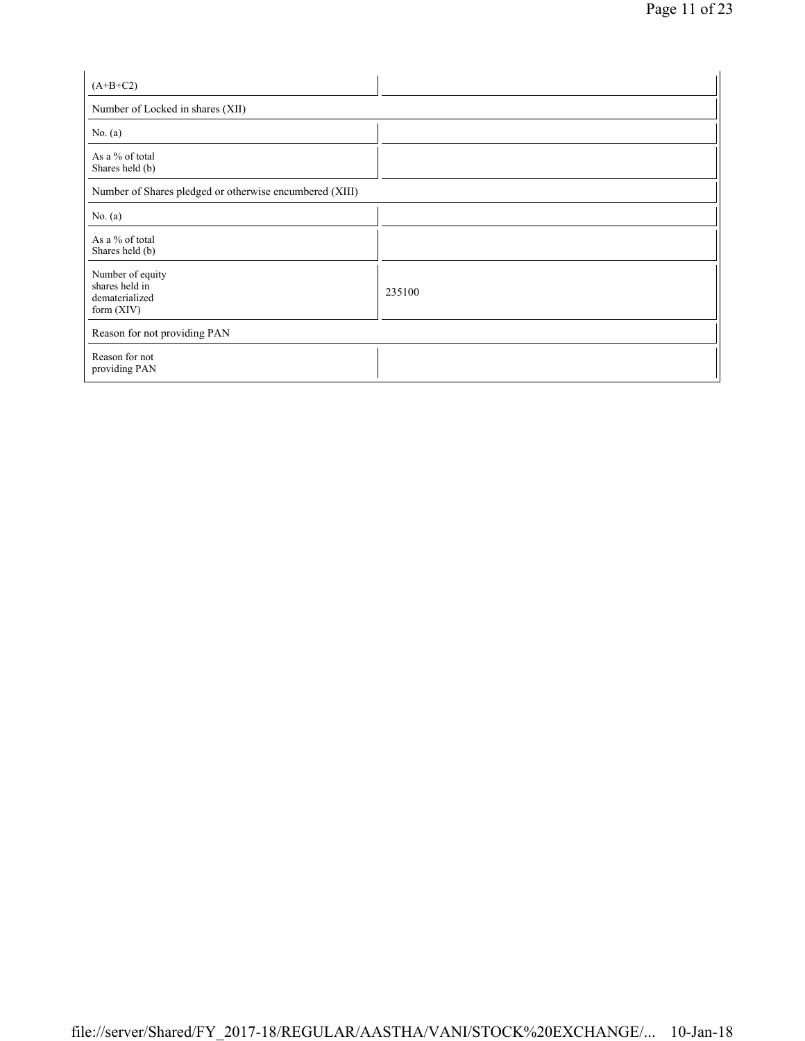| $(A+B+C2)$                                                           |        |  |  |  |  |  |  |  |
|----------------------------------------------------------------------|--------|--|--|--|--|--|--|--|
| Number of Locked in shares (XII)                                     |        |  |  |  |  |  |  |  |
| No. $(a)$                                                            |        |  |  |  |  |  |  |  |
| As a % of total<br>Shares held (b)                                   |        |  |  |  |  |  |  |  |
| Number of Shares pledged or otherwise encumbered (XIII)              |        |  |  |  |  |  |  |  |
| No. $(a)$                                                            |        |  |  |  |  |  |  |  |
| As a % of total<br>Shares held (b)                                   |        |  |  |  |  |  |  |  |
| Number of equity<br>shares held in<br>dematerialized<br>form $(XIV)$ | 235100 |  |  |  |  |  |  |  |
| Reason for not providing PAN                                         |        |  |  |  |  |  |  |  |
| Reason for not<br>providing PAN                                      |        |  |  |  |  |  |  |  |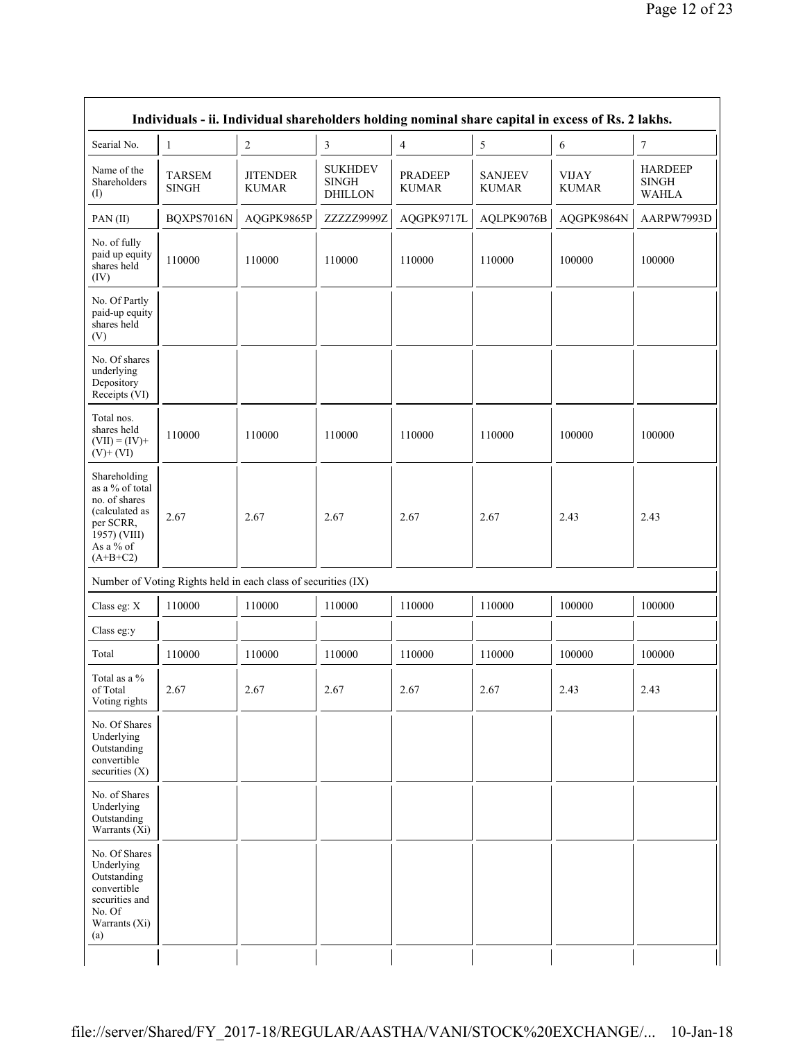| Individuals - ii. Individual shareholders holding nominal share capital in excess of Rs. 2 lakhs.                          |                               |                                                               |                                                  |                                |                                |                              |                                                |  |  |  |
|----------------------------------------------------------------------------------------------------------------------------|-------------------------------|---------------------------------------------------------------|--------------------------------------------------|--------------------------------|--------------------------------|------------------------------|------------------------------------------------|--|--|--|
| Searial No.                                                                                                                | $\mathbf{1}$                  | $\overline{c}$                                                | 3                                                | 4                              | 5                              | 6                            | 7                                              |  |  |  |
| Name of the<br>Shareholders<br>(1)                                                                                         | <b>TARSEM</b><br><b>SINGH</b> | <b>JITENDER</b><br><b>KUMAR</b>                               | <b>SUKHDEV</b><br><b>SINGH</b><br><b>DHILLON</b> | <b>PRADEEP</b><br><b>KUMAR</b> | <b>SANJEEV</b><br><b>KUMAR</b> | <b>VIJAY</b><br><b>KUMAR</b> | <b>HARDEEP</b><br><b>SINGH</b><br><b>WAHLA</b> |  |  |  |
| PAN(II)                                                                                                                    | BQXPS7016N                    | AQGPK9865P                                                    | ZZZZZ9999Z                                       | AQGPK9717L                     | AQLPK9076B                     | AQGPK9864N                   | AARPW7993D                                     |  |  |  |
| No. of fully<br>paid up equity<br>shares held<br>(IV)                                                                      | 110000                        | 110000                                                        | 110000                                           | 110000                         | 110000                         | 100000                       | 100000                                         |  |  |  |
| No. Of Partly<br>paid-up equity<br>shares held<br>(V)                                                                      |                               |                                                               |                                                  |                                |                                |                              |                                                |  |  |  |
| No. Of shares<br>underlying<br>Depository<br>Receipts (VI)                                                                 |                               |                                                               |                                                  |                                |                                |                              |                                                |  |  |  |
| Total nos.<br>shares held<br>$(VII) = (IV) +$<br>$(V)$ + $(VI)$                                                            | 110000                        | 110000                                                        | 110000                                           | 110000                         | 110000                         | 100000                       | 100000                                         |  |  |  |
| Shareholding<br>as a % of total<br>no. of shares<br>(calculated as<br>per SCRR,<br>1957) (VIII)<br>As a % of<br>$(A+B+C2)$ | 2.67                          | 2.67                                                          | 2.67                                             | 2.67                           | 2.67                           | 2.43                         | 2.43                                           |  |  |  |
|                                                                                                                            |                               | Number of Voting Rights held in each class of securities (IX) |                                                  |                                |                                |                              |                                                |  |  |  |
| Class eg: X                                                                                                                | 110000                        | 110000                                                        | 110000                                           | 110000                         | 110000                         | 100000                       | 100000                                         |  |  |  |
| Class eg:y                                                                                                                 |                               |                                                               |                                                  |                                |                                |                              |                                                |  |  |  |
| Total                                                                                                                      | 110000                        | 110000                                                        | 110000                                           | 110000                         | 110000                         | 100000                       | 100000                                         |  |  |  |
| Total as a %<br>of Total<br>Voting rights                                                                                  | 2.67                          | 2.67                                                          | 2.67                                             | 2.67                           | 2.67                           | 2.43                         | 2.43                                           |  |  |  |
| No. Of Shares<br>Underlying<br>Outstanding<br>convertible<br>securities (X)                                                |                               |                                                               |                                                  |                                |                                |                              |                                                |  |  |  |
| No. of Shares<br>Underlying<br>Outstanding<br>Warrants (Xi)                                                                |                               |                                                               |                                                  |                                |                                |                              |                                                |  |  |  |
| No. Of Shares<br>Underlying<br>Outstanding<br>convertible<br>securities and<br>No. Of<br>Warrants (Xi)<br>(a)              |                               |                                                               |                                                  |                                |                                |                              |                                                |  |  |  |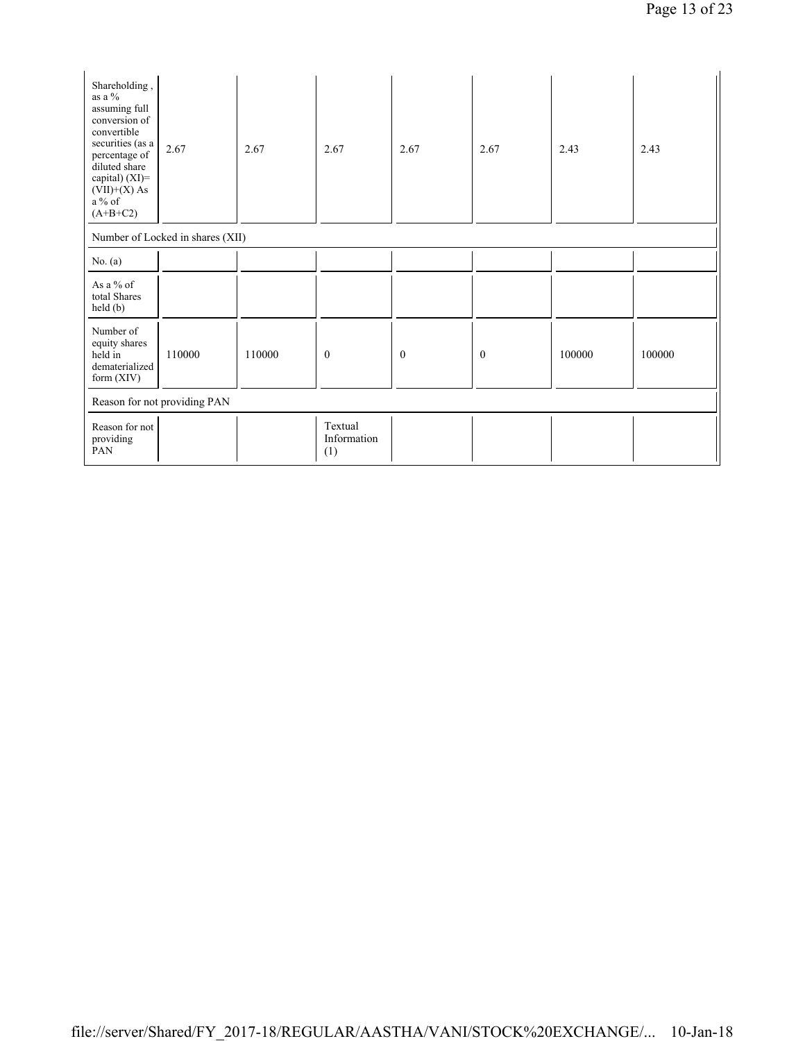| Shareholding,<br>as a %<br>assuming full<br>conversion of<br>convertible<br>securities (as a<br>percentage of<br>diluted share<br>capital) (XI)=<br>$(VII)+(X)$ As<br>$a\%$ of<br>$(A+B+C2)$ | 2.67                             | 2.67   | 2.67                          | 2.67         | 2.67         | 2.43   | 2.43   |
|----------------------------------------------------------------------------------------------------------------------------------------------------------------------------------------------|----------------------------------|--------|-------------------------------|--------------|--------------|--------|--------|
|                                                                                                                                                                                              | Number of Locked in shares (XII) |        |                               |              |              |        |        |
| No. $(a)$                                                                                                                                                                                    |                                  |        |                               |              |              |        |        |
| As a $%$ of<br>total Shares<br>held (b)                                                                                                                                                      |                                  |        |                               |              |              |        |        |
| Number of<br>equity shares<br>held in<br>dematerialized<br>form $(XIV)$                                                                                                                      | 110000                           | 110000 | $\mathbf{0}$                  | $\mathbf{0}$ | $\mathbf{0}$ | 100000 | 100000 |
|                                                                                                                                                                                              | Reason for not providing PAN     |        |                               |              |              |        |        |
| Reason for not<br>$\,$ providing<br>PAN                                                                                                                                                      |                                  |        | Textual<br>Information<br>(1) |              |              |        |        |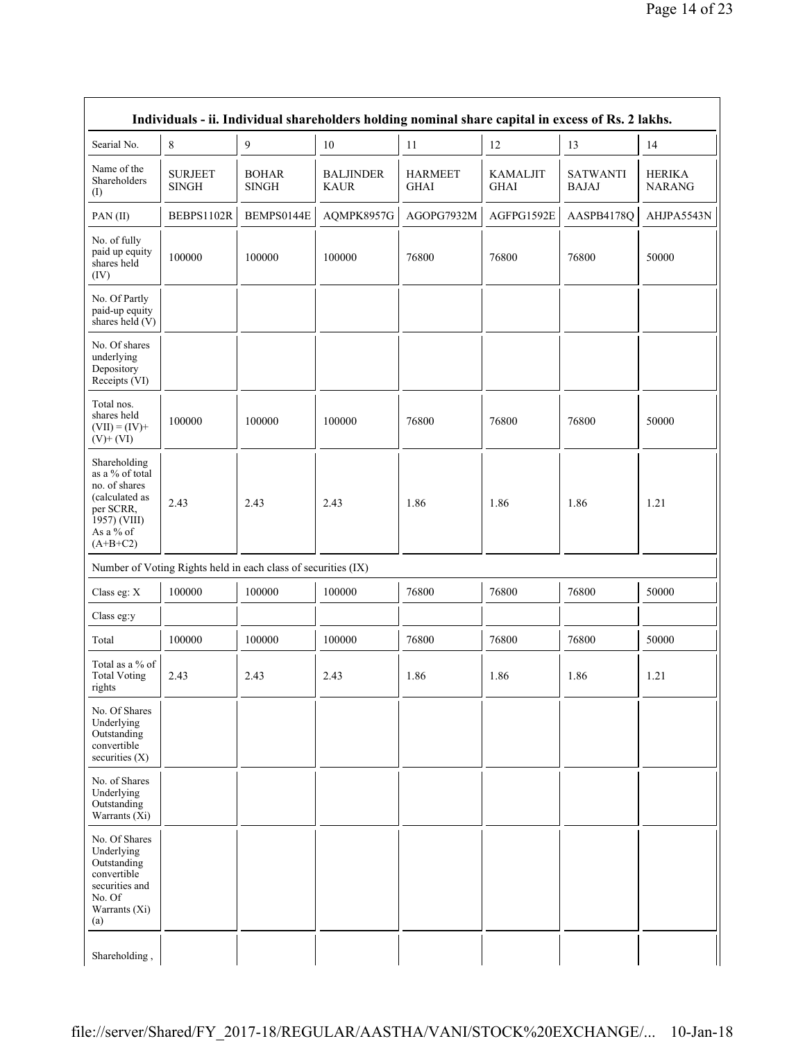|                                                                                                                            | Individuals - ii. Individual shareholders holding nominal share capital in excess of Rs. 2 lakhs. |                                                               |                                 |                               |                                |                                 |                                |  |  |
|----------------------------------------------------------------------------------------------------------------------------|---------------------------------------------------------------------------------------------------|---------------------------------------------------------------|---------------------------------|-------------------------------|--------------------------------|---------------------------------|--------------------------------|--|--|
| Searial No.                                                                                                                | 8                                                                                                 | 9                                                             | 10                              | 11                            | 12                             | 13                              | 14                             |  |  |
| Name of the<br>Shareholders<br>$($ I $)$                                                                                   | <b>SURJEET</b><br><b>SINGH</b>                                                                    | <b>BOHAR</b><br><b>SINGH</b>                                  | <b>BALJINDER</b><br><b>KAUR</b> | <b>HARMEET</b><br><b>GHAI</b> | <b>KAMALJIT</b><br><b>GHAI</b> | <b>SATWANTI</b><br><b>BAJAJ</b> | <b>HERIKA</b><br><b>NARANG</b> |  |  |
| PAN(II)                                                                                                                    | BEBPS1102R                                                                                        | BEMPS0144E                                                    | AQMPK8957G                      | AGOPG7932M                    | AGFPG1592E                     | AASPB4178Q                      | AHJPA5543N                     |  |  |
| No. of fully<br>paid up equity<br>shares held<br>(IV)                                                                      | 100000                                                                                            | 100000                                                        | 100000                          | 76800                         | 76800                          | 76800                           | 50000                          |  |  |
| No. Of Partly<br>paid-up equity<br>shares held (V)                                                                         |                                                                                                   |                                                               |                                 |                               |                                |                                 |                                |  |  |
| No. Of shares<br>underlying<br>Depository<br>Receipts (VI)                                                                 |                                                                                                   |                                                               |                                 |                               |                                |                                 |                                |  |  |
| Total nos.<br>shares held<br>$(VII) = (IV) +$<br>$(V)$ + $(VI)$                                                            | 100000                                                                                            | 100000                                                        | 100000                          | 76800                         | 76800                          | 76800                           | 50000                          |  |  |
| Shareholding<br>as a % of total<br>no. of shares<br>(calculated as<br>per SCRR,<br>1957) (VIII)<br>As a % of<br>$(A+B+C2)$ | 2.43                                                                                              | 2.43                                                          | 2.43                            | 1.86                          | 1.86                           | 1.86                            | 1.21                           |  |  |
|                                                                                                                            |                                                                                                   | Number of Voting Rights held in each class of securities (IX) |                                 |                               |                                |                                 |                                |  |  |
| Class eg: X                                                                                                                | 100000                                                                                            | 100000                                                        | 100000                          | 76800                         | 76800                          | 76800                           | 50000                          |  |  |
| Class eg:y                                                                                                                 |                                                                                                   |                                                               |                                 |                               |                                |                                 |                                |  |  |
| Total                                                                                                                      | 100000                                                                                            | 100000                                                        | 100000                          | 76800                         | 76800                          | 76800                           | 50000                          |  |  |
| Total as a % of<br><b>Total Voting</b><br>rights                                                                           | 2.43                                                                                              | 2.43                                                          | 2.43                            | 1.86                          | 1.86                           | 1.86                            | 1.21                           |  |  |
| No. Of Shares<br>Underlying<br>Outstanding<br>convertible<br>securities $(X)$                                              |                                                                                                   |                                                               |                                 |                               |                                |                                 |                                |  |  |
| No. of Shares<br>Underlying<br>Outstanding<br>Warrants $(X_i)$                                                             |                                                                                                   |                                                               |                                 |                               |                                |                                 |                                |  |  |
| No. Of Shares<br>Underlying<br>Outstanding<br>convertible<br>securities and<br>No. Of<br>Warrants (Xi)<br>(a)              |                                                                                                   |                                                               |                                 |                               |                                |                                 |                                |  |  |
| Shareholding,                                                                                                              |                                                                                                   |                                                               |                                 |                               |                                |                                 |                                |  |  |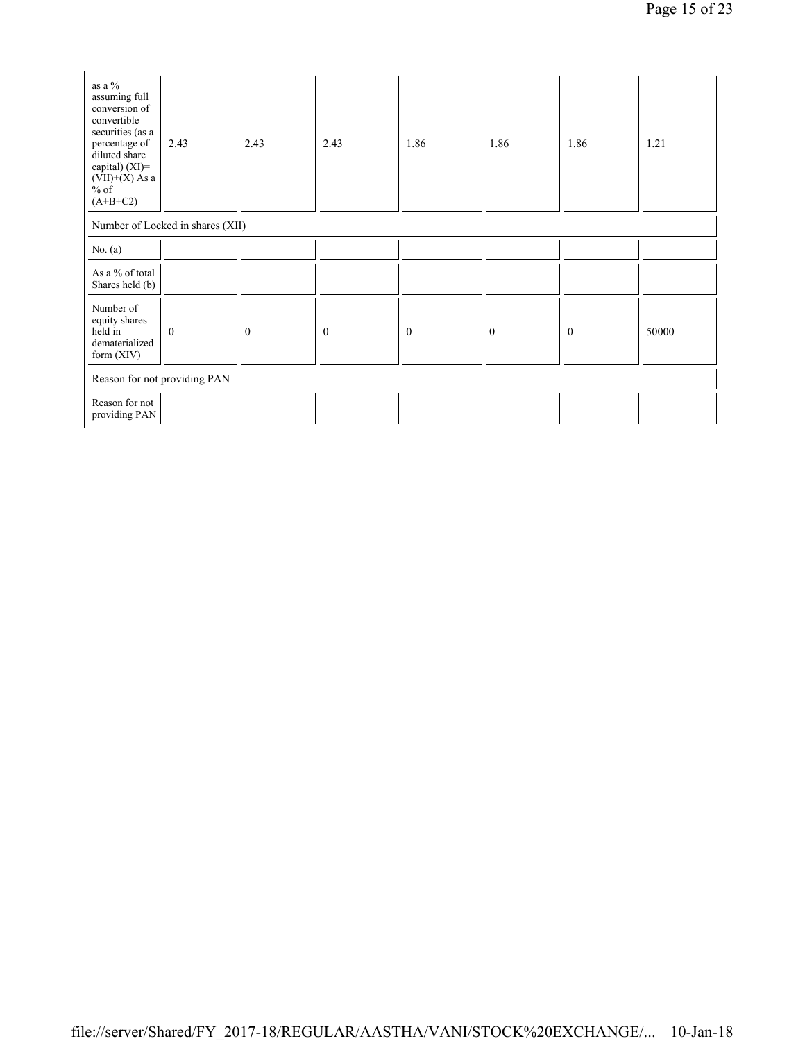| as a %<br>assuming full<br>conversion of<br>convertible<br>securities (as a<br>percentage of<br>diluted share<br>capital) (XI)=<br>$(VII)+(X)$ As a<br>$%$ of<br>$(A+B+C2)$ | 2.43                             | 2.43             | 2.43         | 1.86             | 1.86             | 1.86             | 1.21  |
|-----------------------------------------------------------------------------------------------------------------------------------------------------------------------------|----------------------------------|------------------|--------------|------------------|------------------|------------------|-------|
|                                                                                                                                                                             | Number of Locked in shares (XII) |                  |              |                  |                  |                  |       |
| No. $(a)$                                                                                                                                                                   |                                  |                  |              |                  |                  |                  |       |
| As a % of total<br>Shares held (b)                                                                                                                                          |                                  |                  |              |                  |                  |                  |       |
| Number of<br>equity shares<br>held in<br>dematerialized<br>form $(XIV)$                                                                                                     | $\mathbf{0}$                     | $\boldsymbol{0}$ | $\mathbf{0}$ | $\boldsymbol{0}$ | $\boldsymbol{0}$ | $\boldsymbol{0}$ | 50000 |
| Reason for not providing PAN                                                                                                                                                |                                  |                  |              |                  |                  |                  |       |
| Reason for not<br>providing PAN                                                                                                                                             |                                  |                  |              |                  |                  |                  |       |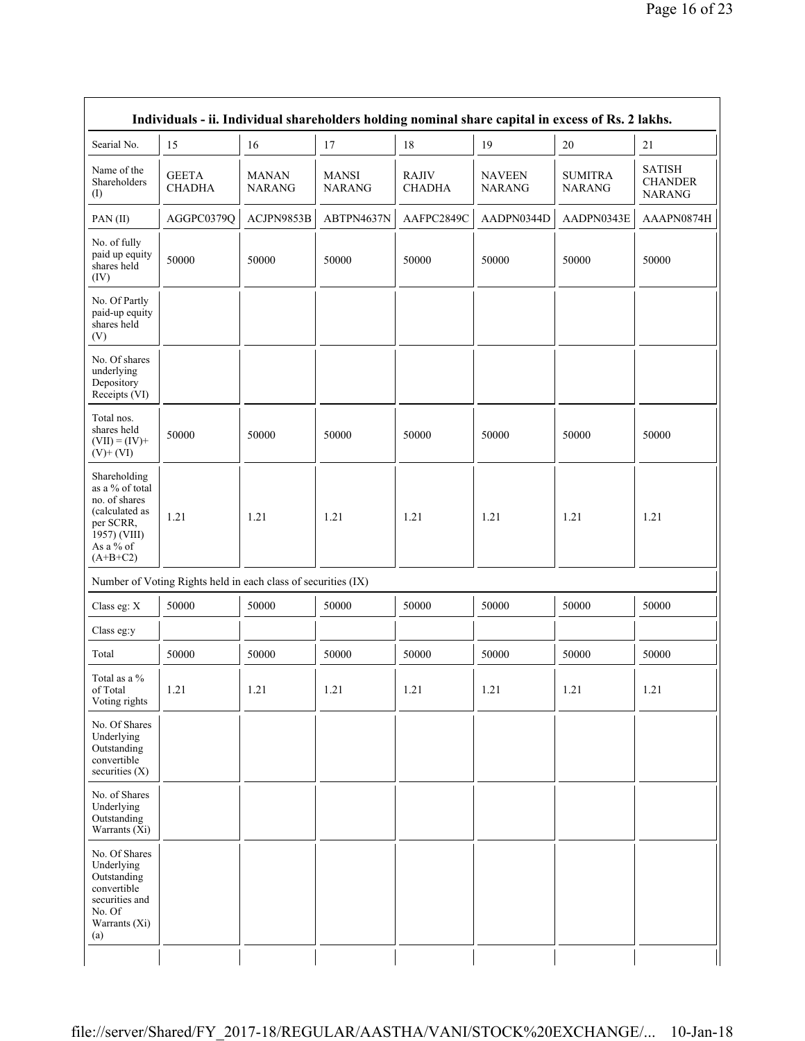|                                                                                                                            | Individuals - ii. Individual shareholders holding nominal share capital in excess of Rs. 2 lakhs. |                               |                               |                               |                                |                                 |                                                  |  |
|----------------------------------------------------------------------------------------------------------------------------|---------------------------------------------------------------------------------------------------|-------------------------------|-------------------------------|-------------------------------|--------------------------------|---------------------------------|--------------------------------------------------|--|
| Searial No.                                                                                                                | 15                                                                                                | 16                            | 17                            | 18                            | 19                             | 20                              | 21                                               |  |
| Name of the<br>Shareholders<br>$($ I                                                                                       | <b>GEETA</b><br><b>CHADHA</b>                                                                     | <b>MANAN</b><br><b>NARANG</b> | <b>MANSI</b><br><b>NARANG</b> | <b>RAJIV</b><br><b>CHADHA</b> | <b>NAVEEN</b><br><b>NARANG</b> | <b>SUMITRA</b><br><b>NARANG</b> | <b>SATISH</b><br><b>CHANDER</b><br><b>NARANG</b> |  |
| PAN(II)                                                                                                                    | AGGPC0379Q                                                                                        | ACJPN9853B                    | ABTPN4637N                    | AAFPC2849C                    | AADPN0344D                     | AADPN0343E                      | AAAPN0874H                                       |  |
| No. of fully<br>paid up equity<br>shares held<br>(IV)                                                                      | 50000                                                                                             | 50000                         | 50000                         | 50000                         | 50000                          | 50000                           | 50000                                            |  |
| No. Of Partly<br>paid-up equity<br>shares held<br>(V)                                                                      |                                                                                                   |                               |                               |                               |                                |                                 |                                                  |  |
| No. Of shares<br>underlying<br>Depository<br>Receipts (VI)                                                                 |                                                                                                   |                               |                               |                               |                                |                                 |                                                  |  |
| Total nos.<br>shares held<br>$(VII) = (IV) +$<br>$(V)$ + $(VI)$                                                            | 50000                                                                                             | 50000                         | 50000                         | 50000                         | 50000                          | 50000                           | 50000                                            |  |
| Shareholding<br>as a % of total<br>no. of shares<br>(calculated as<br>per SCRR,<br>1957) (VIII)<br>As a % of<br>$(A+B+C2)$ | 1.21                                                                                              | 1.21                          | 1.21                          | 1.21                          | 1.21                           | 1.21                            | 1.21                                             |  |
|                                                                                                                            | Number of Voting Rights held in each class of securities (IX)                                     |                               |                               |                               |                                |                                 |                                                  |  |
| Class eg: X                                                                                                                | 50000                                                                                             | 50000                         | 50000                         | 50000                         | 50000                          | 50000                           | 50000                                            |  |
| Class eg:y                                                                                                                 |                                                                                                   |                               |                               |                               |                                |                                 |                                                  |  |
| Total                                                                                                                      | 50000                                                                                             | 50000                         | 50000                         | 50000                         | 50000                          | 50000                           | 50000                                            |  |
| Total as a %<br>of Total<br>Voting rights                                                                                  | 1.21                                                                                              | 1.21                          | 1.21                          | 1.21                          | 1.21                           | 1.21                            | 1.21                                             |  |
| No. Of Shares<br>Underlying<br>Outstanding<br>convertible<br>securities (X)                                                |                                                                                                   |                               |                               |                               |                                |                                 |                                                  |  |
| No. of Shares<br>Underlying<br>Outstanding<br>Warrants $(X_i)$                                                             |                                                                                                   |                               |                               |                               |                                |                                 |                                                  |  |
| No. Of Shares<br>Underlying<br>Outstanding<br>convertible<br>securities and<br>No. Of<br>Warrants (Xi)<br>(a)              |                                                                                                   |                               |                               |                               |                                |                                 |                                                  |  |
|                                                                                                                            |                                                                                                   |                               |                               |                               |                                |                                 |                                                  |  |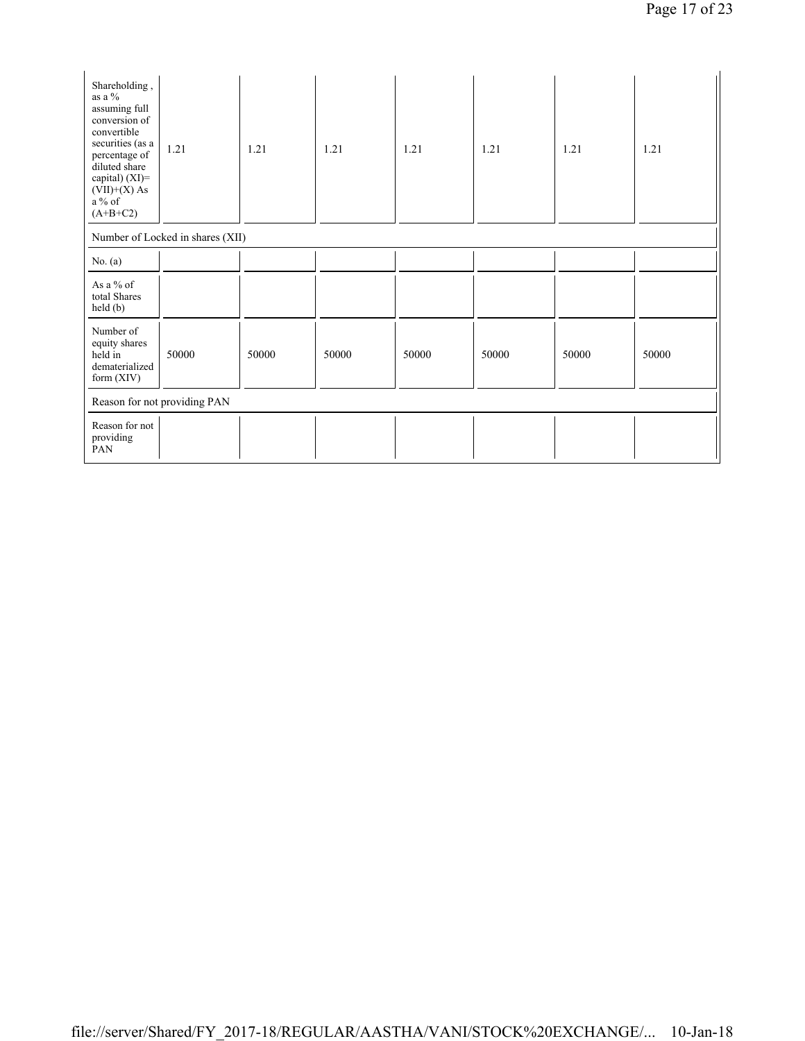| Shareholding,<br>as a %<br>assuming full<br>conversion of<br>convertible<br>securities (as a<br>percentage of<br>diluted share<br>capital) $(XI)=$<br>$(VII)+(X)$ As<br>a % of<br>$(A+B+C2)$ | 1.21                             | 1.21  | 1.21  | 1.21  | 1.21  | 1.21  | 1.21  |
|----------------------------------------------------------------------------------------------------------------------------------------------------------------------------------------------|----------------------------------|-------|-------|-------|-------|-------|-------|
|                                                                                                                                                                                              | Number of Locked in shares (XII) |       |       |       |       |       |       |
| No. $(a)$                                                                                                                                                                                    |                                  |       |       |       |       |       |       |
| As a $%$ of<br>total Shares<br>held(b)                                                                                                                                                       |                                  |       |       |       |       |       |       |
| Number of<br>equity shares<br>held in<br>dematerialized<br>form (XIV)                                                                                                                        | 50000                            | 50000 | 50000 | 50000 | 50000 | 50000 | 50000 |
|                                                                                                                                                                                              | Reason for not providing PAN     |       |       |       |       |       |       |
| Reason for not<br>providing<br>PAN                                                                                                                                                           |                                  |       |       |       |       |       |       |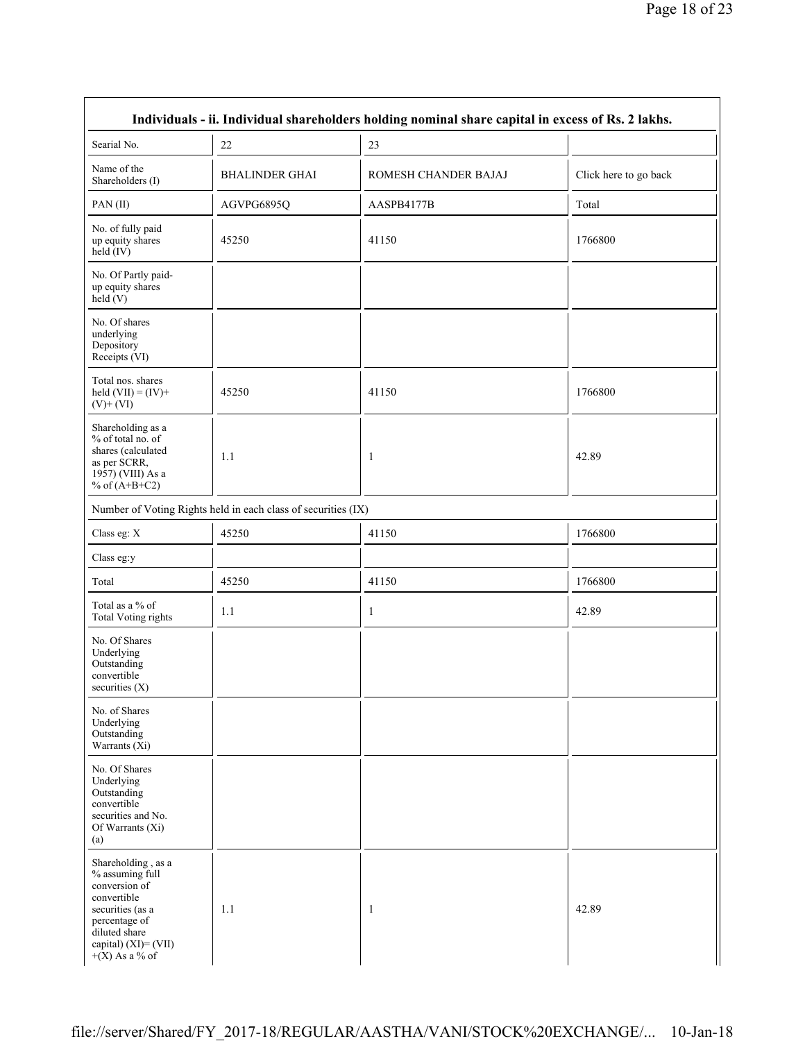| Individuals - ii. Individual shareholders holding nominal share capital in excess of Rs. 2 lakhs.                                                                          |                                                               |                      |                       |  |  |
|----------------------------------------------------------------------------------------------------------------------------------------------------------------------------|---------------------------------------------------------------|----------------------|-----------------------|--|--|
| Searial No.                                                                                                                                                                | 22                                                            | 23                   |                       |  |  |
| Name of the<br>Shareholders (I)                                                                                                                                            | <b>BHALINDER GHAI</b>                                         | ROMESH CHANDER BAJAJ | Click here to go back |  |  |
| PAN(II)                                                                                                                                                                    | AGVPG6895Q                                                    | AASPB4177B           | Total                 |  |  |
| No. of fully paid<br>up equity shares<br>held (IV)                                                                                                                         | 45250                                                         | 41150                | 1766800               |  |  |
| No. Of Partly paid-<br>up equity shares<br>held(V)                                                                                                                         |                                                               |                      |                       |  |  |
| No. Of shares<br>underlying<br>Depository<br>Receipts (VI)                                                                                                                 |                                                               |                      |                       |  |  |
| Total nos. shares<br>held $(VII) = (IV) +$<br>$(V)$ + $(VI)$                                                                                                               | 45250                                                         | 41150                | 1766800               |  |  |
| Shareholding as a<br>% of total no. of<br>shares (calculated<br>as per SCRR,<br>1957) (VIII) As a<br>% of $(A+B+C2)$                                                       | 1.1                                                           | 1                    | 42.89                 |  |  |
|                                                                                                                                                                            | Number of Voting Rights held in each class of securities (IX) |                      |                       |  |  |
| Class eg: X                                                                                                                                                                | 45250                                                         | 41150                | 1766800               |  |  |
| Class eg:y                                                                                                                                                                 |                                                               |                      |                       |  |  |
| Total                                                                                                                                                                      | 45250                                                         | 41150                | 1766800               |  |  |
| Total as a % of<br><b>Total Voting rights</b>                                                                                                                              | 1.1                                                           | 1                    | 42.89                 |  |  |
| No. Of Shares<br>Underlying<br>Outstanding<br>convertible<br>securities $(X)$                                                                                              |                                                               |                      |                       |  |  |
| No. of Shares<br>Underlying<br>Outstanding<br>Warrants $(X_i)$                                                                                                             |                                                               |                      |                       |  |  |
| No. Of Shares<br>Underlying<br>Outstanding<br>convertible<br>securities and No.<br>Of Warrants (Xi)<br>(a)                                                                 |                                                               |                      |                       |  |  |
| Shareholding, as a<br>% assuming full<br>conversion of<br>convertible<br>securities (as a<br>percentage of<br>diluted share<br>capital) $(XI) = (VII)$<br>$+(X)$ As a % of | 1.1                                                           | $\mathbf{1}$         | 42.89                 |  |  |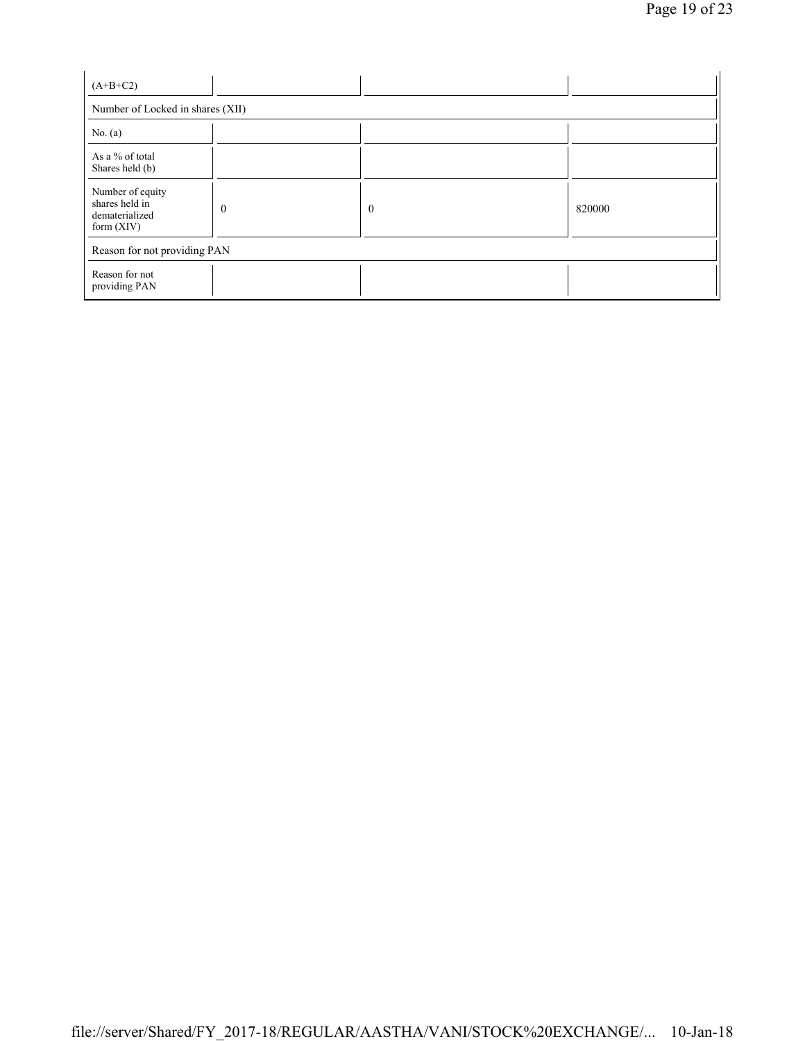| $(A+B+C2)$                                                           |              |              |        |  |  |  |
|----------------------------------------------------------------------|--------------|--------------|--------|--|--|--|
| Number of Locked in shares (XII)                                     |              |              |        |  |  |  |
| No. $(a)$                                                            |              |              |        |  |  |  |
| As a % of total<br>Shares held (b)                                   |              |              |        |  |  |  |
| Number of equity<br>shares held in<br>dematerialized<br>form $(XIV)$ | $\mathbf{0}$ | $\mathbf{0}$ | 820000 |  |  |  |
| Reason for not providing PAN                                         |              |              |        |  |  |  |
| Reason for not<br>providing PAN                                      |              |              |        |  |  |  |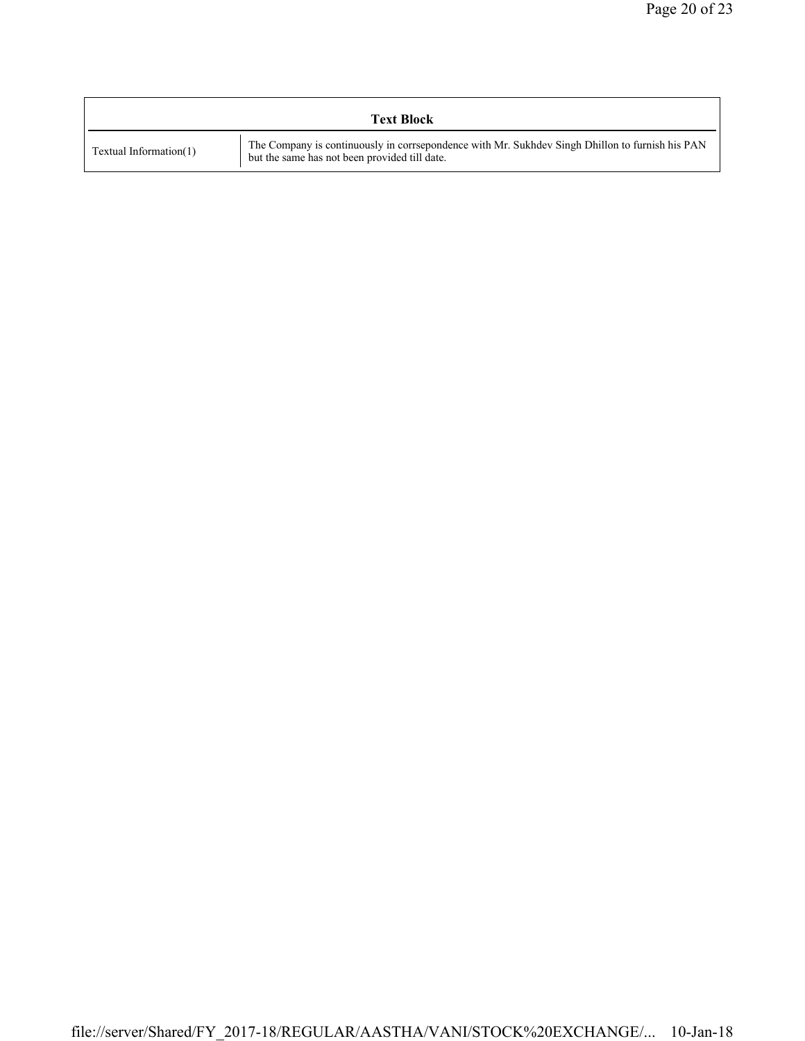| <b>Text Block</b>      |                                                                                                                                                  |  |  |  |  |  |
|------------------------|--------------------------------------------------------------------------------------------------------------------------------------------------|--|--|--|--|--|
| Textual Information(1) | The Company is continuously in corrsepondence with Mr. Sukhdev Singh Dhillon to furnish his PAN<br>but the same has not been provided till date. |  |  |  |  |  |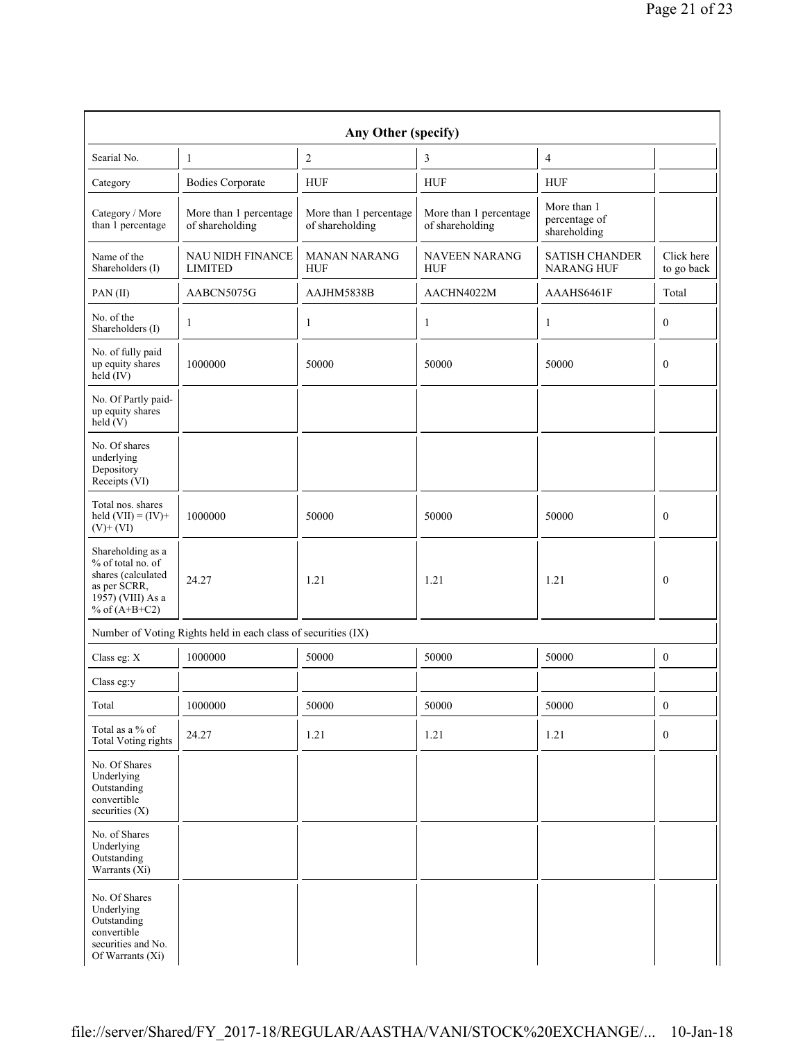| Any Other (specify)                                                                                                  |                                                               |                                           |                                           |                                              |                          |  |  |
|----------------------------------------------------------------------------------------------------------------------|---------------------------------------------------------------|-------------------------------------------|-------------------------------------------|----------------------------------------------|--------------------------|--|--|
| Searial No.                                                                                                          | 1                                                             | $\overline{2}$                            | 3                                         | 4                                            |                          |  |  |
| Category                                                                                                             | <b>Bodies Corporate</b>                                       | <b>HUF</b>                                | <b>HUF</b>                                | <b>HUF</b>                                   |                          |  |  |
| Category / More<br>than 1 percentage                                                                                 | More than 1 percentage<br>of shareholding                     | More than 1 percentage<br>of shareholding | More than 1 percentage<br>of shareholding | More than 1<br>percentage of<br>shareholding |                          |  |  |
| Name of the<br>Shareholders (I)                                                                                      | <b>NAU NIDH FINANCE</b><br><b>LIMITED</b>                     | <b>MANAN NARANG</b><br><b>HUF</b>         | <b>NAVEEN NARANG</b><br><b>HUF</b>        | <b>SATISH CHANDER</b><br><b>NARANG HUF</b>   | Click here<br>to go back |  |  |
| PAN(II)                                                                                                              | AABCN5075G                                                    | AAJHM5838B                                | AACHN4022M                                | AAAHS6461F                                   | Total                    |  |  |
| No. of the<br>Shareholders (I)                                                                                       | 1                                                             | 1                                         | 1                                         | 1                                            | $\mathbf{0}$             |  |  |
| No. of fully paid<br>up equity shares<br>held (IV)                                                                   | 1000000                                                       | 50000                                     | 50000                                     | 50000                                        | $\mathbf{0}$             |  |  |
| No. Of Partly paid-<br>up equity shares<br>held(V)                                                                   |                                                               |                                           |                                           |                                              |                          |  |  |
| No. Of shares<br>underlying<br>Depository<br>Receipts (VI)                                                           |                                                               |                                           |                                           |                                              |                          |  |  |
| Total nos. shares<br>held $(VII) = (IV) +$<br>$(V)$ + $(VI)$                                                         | 1000000                                                       | 50000                                     | 50000                                     | 50000                                        | $\mathbf{0}$             |  |  |
| Shareholding as a<br>% of total no. of<br>shares (calculated<br>as per SCRR,<br>1957) (VIII) As a<br>% of $(A+B+C2)$ | 24.27                                                         | 1.21                                      | 1.21                                      | 1.21                                         | $\theta$                 |  |  |
|                                                                                                                      | Number of Voting Rights held in each class of securities (IX) |                                           |                                           |                                              |                          |  |  |
| Class eg: X                                                                                                          | 1000000                                                       | 50000                                     | 50000                                     | 50000                                        | $\boldsymbol{0}$         |  |  |
| Class eg:y                                                                                                           |                                                               |                                           |                                           |                                              |                          |  |  |
| Total                                                                                                                | 1000000                                                       | 50000                                     | 50000                                     | 50000                                        | $\boldsymbol{0}$         |  |  |
| Total as a % of<br><b>Total Voting rights</b>                                                                        | 24.27                                                         | 1.21                                      | 1.21                                      | 1.21                                         | $\boldsymbol{0}$         |  |  |
| No. Of Shares<br>Underlying<br>Outstanding<br>convertible<br>securities $(X)$                                        |                                                               |                                           |                                           |                                              |                          |  |  |
| No. of Shares<br>Underlying<br>Outstanding<br>Warrants $(X_i)$                                                       |                                                               |                                           |                                           |                                              |                          |  |  |
| No. Of Shares<br>Underlying<br>Outstanding<br>convertible<br>securities and No.<br>Of Warrants (Xi)                  |                                                               |                                           |                                           |                                              |                          |  |  |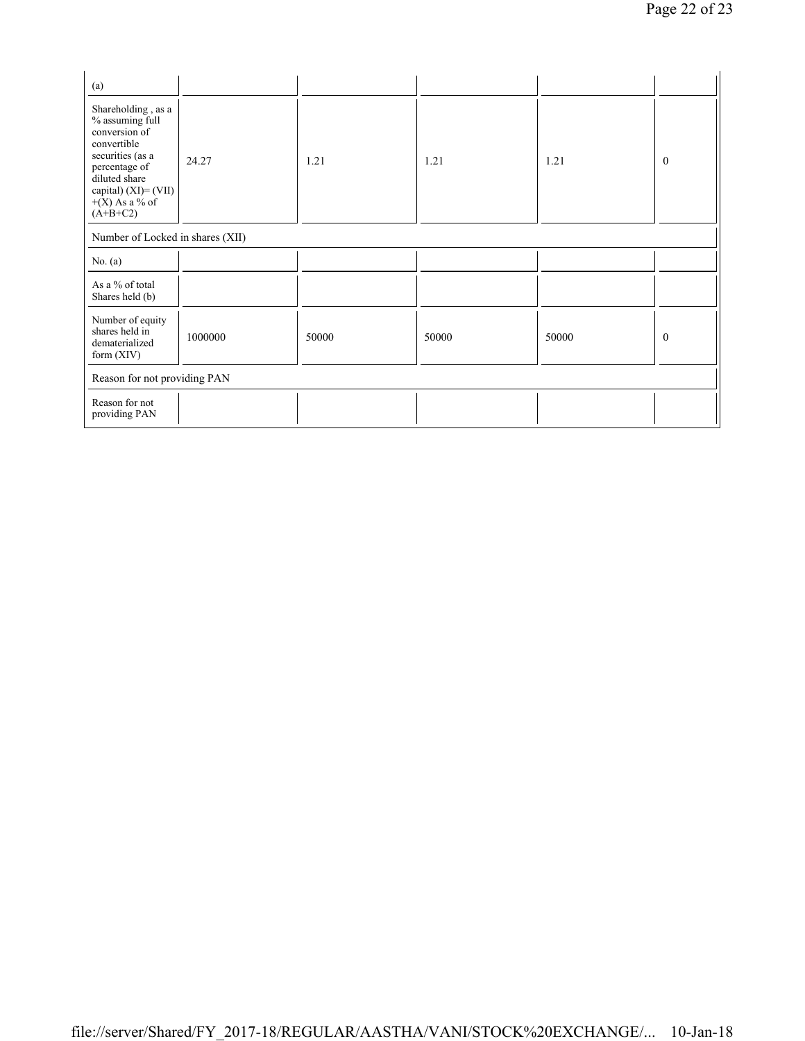| (a)                                                                                                                                                                                      |                                  |       |       |       |              |  |  |
|------------------------------------------------------------------------------------------------------------------------------------------------------------------------------------------|----------------------------------|-------|-------|-------|--------------|--|--|
| Shareholding, as a<br>% assuming full<br>conversion of<br>convertible<br>securities (as a<br>percentage of<br>diluted share<br>capital) $(XI) = (VII)$<br>$+(X)$ As a % of<br>$(A+B+C2)$ | 24.27                            | 1.21  | 1.21  | 1.21  | $\mathbf{0}$ |  |  |
|                                                                                                                                                                                          | Number of Locked in shares (XII) |       |       |       |              |  |  |
| No. $(a)$                                                                                                                                                                                |                                  |       |       |       |              |  |  |
| As a % of total<br>Shares held (b)                                                                                                                                                       |                                  |       |       |       |              |  |  |
| Number of equity<br>shares held in<br>dematerialized<br>form $(XIV)$                                                                                                                     | 1000000                          | 50000 | 50000 | 50000 | $\mathbf{0}$ |  |  |
| Reason for not providing PAN                                                                                                                                                             |                                  |       |       |       |              |  |  |
| Reason for not<br>providing PAN                                                                                                                                                          |                                  |       |       |       |              |  |  |